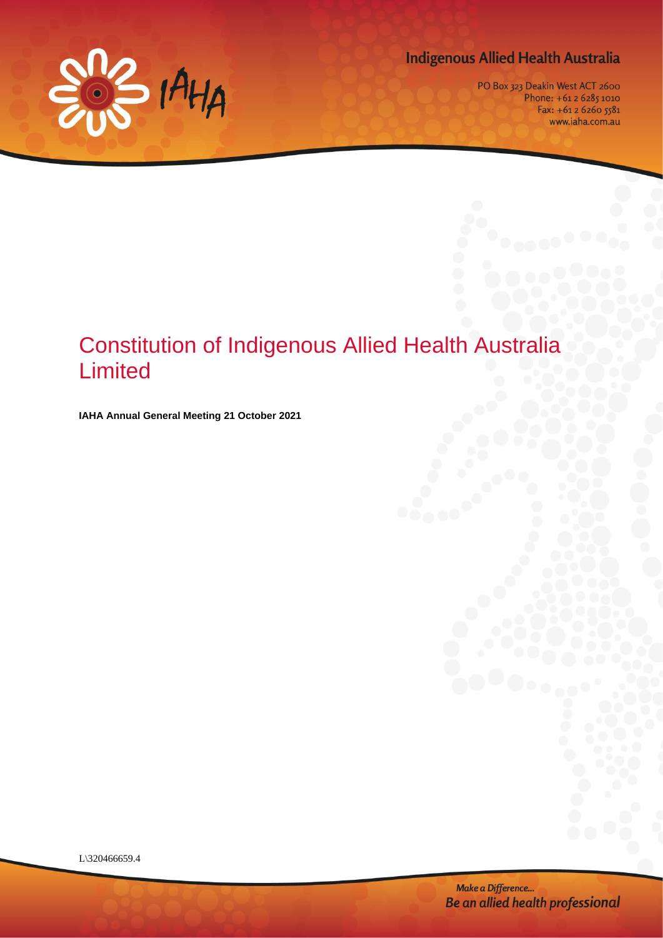

# **Indigenous Allied Health Australia**

PO Box 323 Deakin West ACT 2600 Phone: +61 2 6285 1010 Fax: +61 2 6260 5581 www.iaha.com.au

# Constitution of Indigenous Allied Health Australia Limited

**IAHA Annual General Meeting 21 October 2021**

L\320466659.4

Make a Difference... Be an allied health professional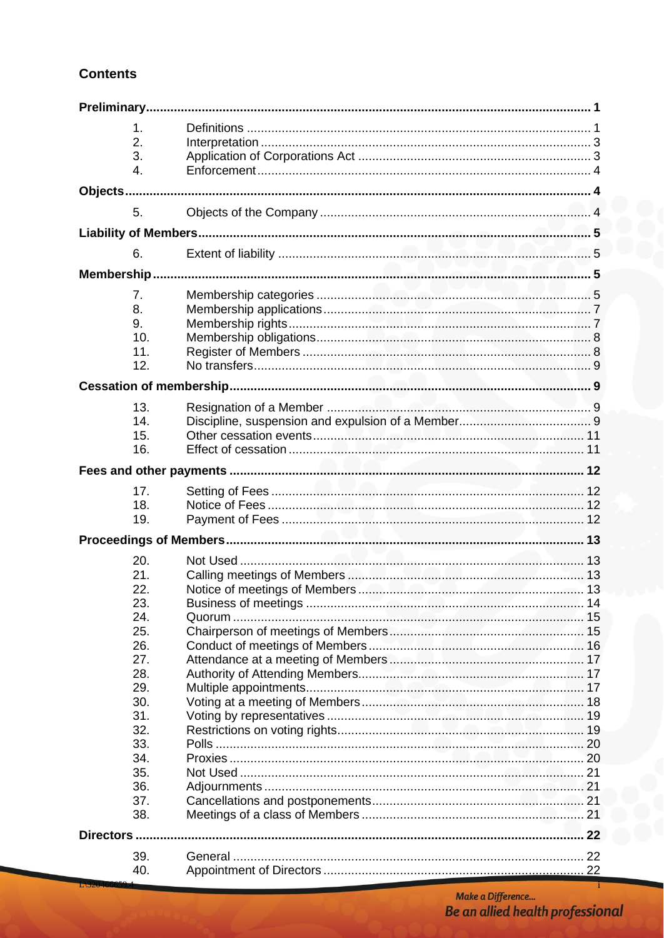# **Contents**

|           | 1.  |  |  |  |  |
|-----------|-----|--|--|--|--|
|           | 2.  |  |  |  |  |
|           | 3.  |  |  |  |  |
|           |     |  |  |  |  |
|           | 4.  |  |  |  |  |
|           |     |  |  |  |  |
|           | 5.  |  |  |  |  |
|           |     |  |  |  |  |
|           |     |  |  |  |  |
|           | 6.  |  |  |  |  |
|           |     |  |  |  |  |
|           | 7.  |  |  |  |  |
|           | 8.  |  |  |  |  |
|           | 9.  |  |  |  |  |
|           | 10. |  |  |  |  |
|           | 11. |  |  |  |  |
|           | 12. |  |  |  |  |
|           |     |  |  |  |  |
|           |     |  |  |  |  |
|           | 13. |  |  |  |  |
|           | 14. |  |  |  |  |
|           | 15. |  |  |  |  |
|           | 16. |  |  |  |  |
|           |     |  |  |  |  |
|           |     |  |  |  |  |
|           | 17. |  |  |  |  |
|           | 18. |  |  |  |  |
|           | 19. |  |  |  |  |
|           |     |  |  |  |  |
|           | 20. |  |  |  |  |
|           |     |  |  |  |  |
|           | 21. |  |  |  |  |
|           | 22. |  |  |  |  |
|           | 23. |  |  |  |  |
|           | 24. |  |  |  |  |
|           | 25. |  |  |  |  |
|           | 26. |  |  |  |  |
|           | 27. |  |  |  |  |
|           | 28. |  |  |  |  |
|           | 29. |  |  |  |  |
|           | 30. |  |  |  |  |
|           | 31. |  |  |  |  |
|           | 32. |  |  |  |  |
|           | 33. |  |  |  |  |
|           | 34. |  |  |  |  |
|           | 35. |  |  |  |  |
|           | 36. |  |  |  |  |
|           | 37. |  |  |  |  |
|           | 38. |  |  |  |  |
| Directors |     |  |  |  |  |
|           |     |  |  |  |  |
|           | 39. |  |  |  |  |
|           | 40. |  |  |  |  |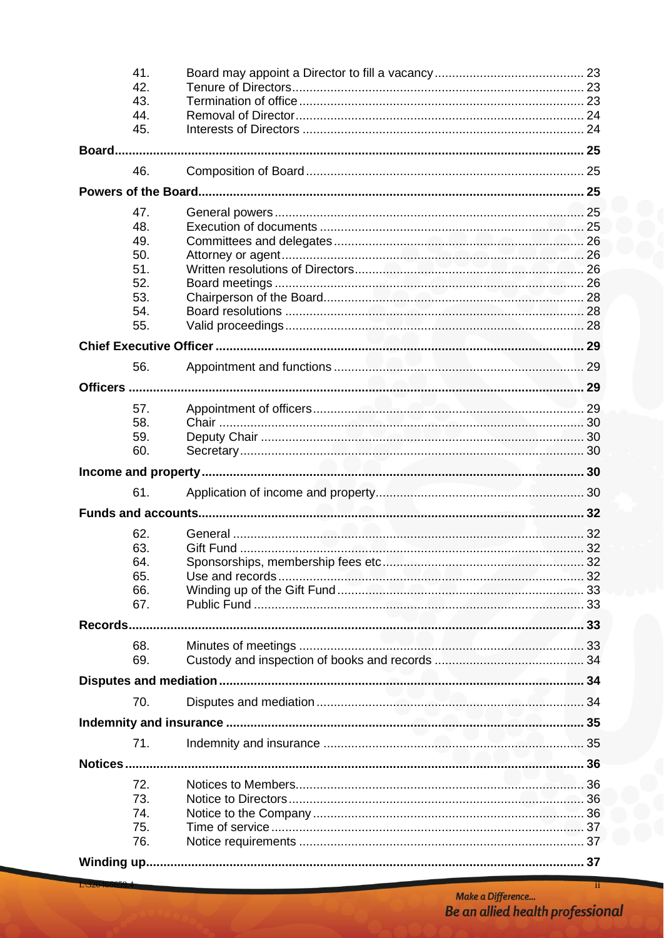|  | 41.        |  |  |  |  |
|--|------------|--|--|--|--|
|  | 42.        |  |  |  |  |
|  | 43.        |  |  |  |  |
|  | 44.        |  |  |  |  |
|  | 45.        |  |  |  |  |
|  |            |  |  |  |  |
|  | 46.        |  |  |  |  |
|  |            |  |  |  |  |
|  | 47.        |  |  |  |  |
|  | 48.        |  |  |  |  |
|  | 49.        |  |  |  |  |
|  | 50.        |  |  |  |  |
|  | 51.        |  |  |  |  |
|  | 52.        |  |  |  |  |
|  | 53.        |  |  |  |  |
|  | 54.        |  |  |  |  |
|  | 55.        |  |  |  |  |
|  |            |  |  |  |  |
|  | 56.        |  |  |  |  |
|  |            |  |  |  |  |
|  |            |  |  |  |  |
|  | 57.        |  |  |  |  |
|  | 58.<br>59. |  |  |  |  |
|  | 60.        |  |  |  |  |
|  |            |  |  |  |  |
|  |            |  |  |  |  |
|  | 61.        |  |  |  |  |
|  |            |  |  |  |  |
|  | 62.        |  |  |  |  |
|  | 63.        |  |  |  |  |
|  | 64.        |  |  |  |  |
|  | 65.        |  |  |  |  |
|  | 66.        |  |  |  |  |
|  | 67.        |  |  |  |  |
|  |            |  |  |  |  |
|  | 68.        |  |  |  |  |
|  | 69.        |  |  |  |  |
|  |            |  |  |  |  |
|  | 70.        |  |  |  |  |
|  |            |  |  |  |  |
|  |            |  |  |  |  |
|  | 71.        |  |  |  |  |
|  |            |  |  |  |  |
|  | 72.        |  |  |  |  |
|  | 73.        |  |  |  |  |
|  | 74.        |  |  |  |  |
|  | 75.        |  |  |  |  |
|  | 76.        |  |  |  |  |
|  |            |  |  |  |  |

ii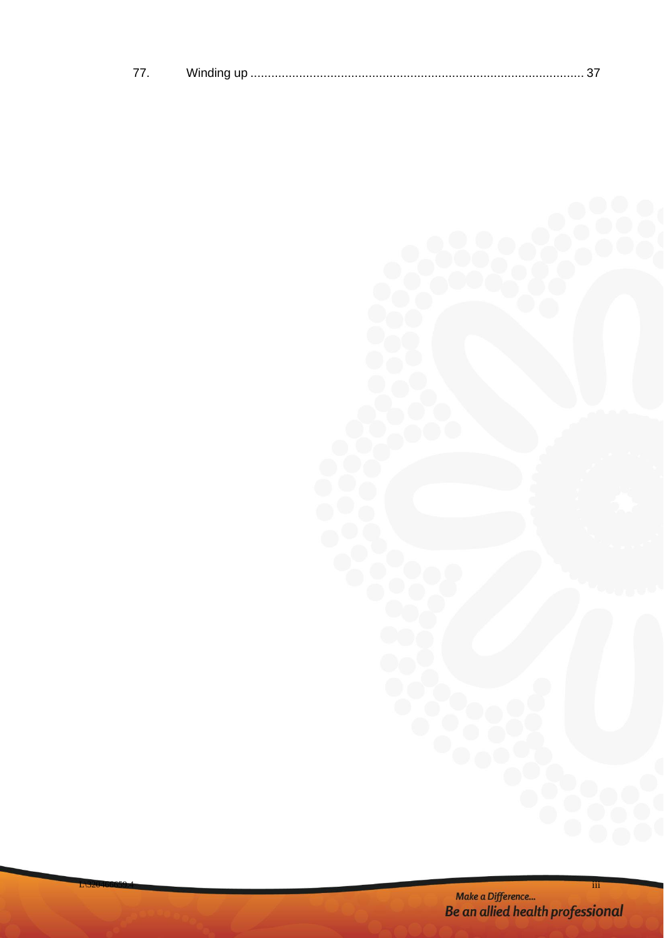|--|--|--|

m Make a Difference...<br>Be an allied health professional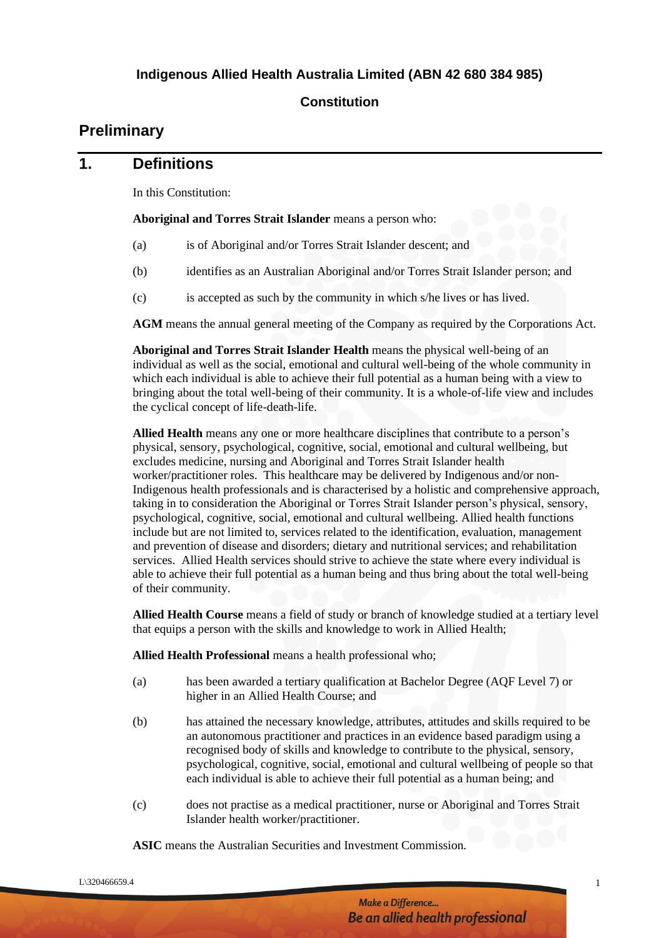#### **Constitution**

# **Preliminary**

#### **1. Definitions**

In this Constitution:

**Aboriginal and Torres Strait Islander** means a person who:

- (a) is of Aboriginal and/or Torres Strait Islander descent; and
- (b) identifies as an Australian Aboriginal and/or Torres Strait Islander person; and
- (c) is accepted as such by the community in which s/he lives or has lived.

**AGM** means the annual general meeting of the Company as required by the Corporations Act.

**Aboriginal and Torres Strait Islander Health** means the physical well-being of an individual as well as the social, emotional and cultural well-being of the whole community in which each individual is able to achieve their full potential as a human being with a view to bringing about the total well-being of their community. It is a whole-of-life view and includes the cyclical concept of life-death-life.

**Allied Health** means any one or more healthcare disciplines that contribute to a person's physical, sensory, psychological, cognitive, social, emotional and cultural wellbeing, but excludes medicine, nursing and Aboriginal and Torres Strait Islander health worker/practitioner roles. This healthcare may be delivered by Indigenous and/or non-Indigenous health professionals and is characterised by a holistic and comprehensive approach, taking in to consideration the Aboriginal or Torres Strait Islander person's physical, sensory, psychological, cognitive, social, emotional and cultural wellbeing. Allied health functions include but are not limited to, services related to the identification, evaluation, management and prevention of disease and disorders; dietary and nutritional services; and rehabilitation services. Allied Health services should strive to achieve the state where every individual is able to achieve their full potential as a human being and thus bring about the total well-being of their community.

**Allied Health Course** means a field of study or branch of knowledge studied at a tertiary level that equips a person with the skills and knowledge to work in Allied Health;

**Allied Health Professional** means a health professional who;

- (a) has been awarded a tertiary qualification at Bachelor Degree (AQF Level 7) or higher in an Allied Health Course; and
- (b) has attained the necessary knowledge, attributes, attitudes and skills required to be an autonomous practitioner and practices in an evidence based paradigm using a recognised body of skills and knowledge to contribute to the physical, sensory, psychological, cognitive, social, emotional and cultural wellbeing of people so that each individual is able to achieve their full potential as a human being; and
- (c) does not practise as a medical practitioner, nurse or Aboriginal and Torres Strait Islander health worker/practitioner.

**ASIC** means the Australian Securities and Investment Commission.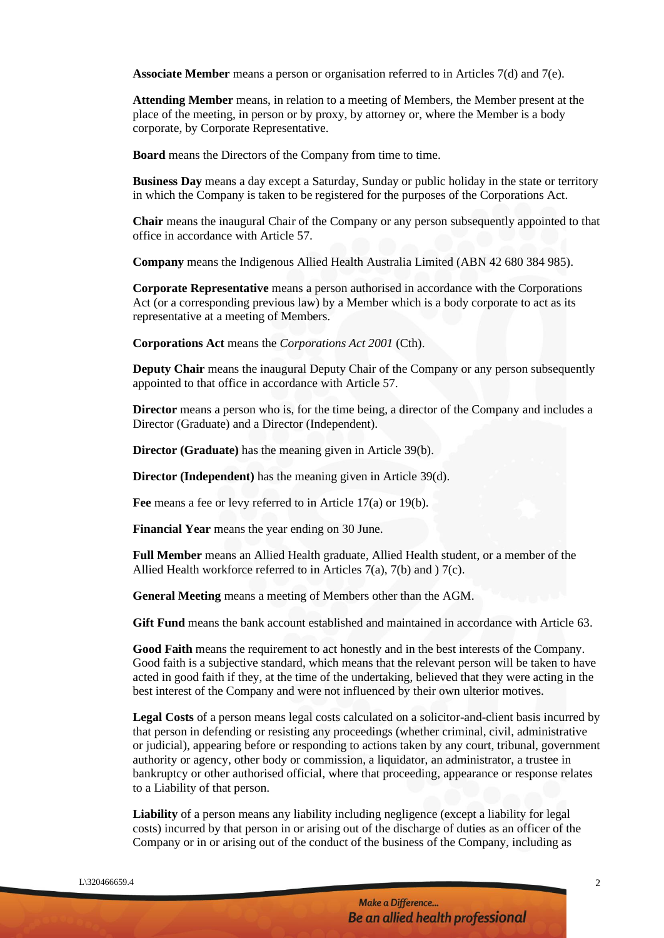**Associate Member** means a person or organisation referred to in Articles 7(d) and 7(e).

**Attending Member** means, in relation to a meeting of Members, the Member present at the place of the meeting, in person or by proxy, by attorney or, where the Member is a body corporate, by Corporate Representative.

**Board** means the Directors of the Company from time to time.

**Business Day** means a day except a Saturday, Sunday or public holiday in the state or territory in which the Company is taken to be registered for the purposes of the Corporations Act.

**Chair** means the inaugural Chair of the Company or any person subsequently appointed to that office in accordance with Article 57.

**Company** means the Indigenous Allied Health Australia Limited (ABN 42 680 384 985).

**Corporate Representative** means a person authorised in accordance with the Corporations Act (or a corresponding previous law) by a Member which is a body corporate to act as its representative at a meeting of Members.

**Corporations Act** means the *Corporations Act 2001* (Cth).

**Deputy Chair** means the inaugural Deputy Chair of the Company or any person subsequently appointed to that office in accordance with Article 57.

**Director** means a person who is, for the time being, a director of the Company and includes a Director (Graduate) and a Director (Independent).

**Director (Graduate)** has the meaning given in Article 39(b).

**Director (Independent)** has the meaning given in Article 39(d).

**Fee** means a fee or levy referred to in Article 17(a) or 19(b).

**Financial Year** means the year ending on 30 June.

**Full Member** means an Allied Health graduate, Allied Health student, or a member of the Allied Health workforce referred to in Articles 7(a), 7(b) and ) 7(c).

**General Meeting** means a meeting of Members other than the AGM.

**Gift Fund** means the bank account established and maintained in accordance with Article 63.

**Good Faith** means the requirement to act honestly and in the best interests of the Company. Good faith is a subjective standard, which means that the relevant person will be taken to have acted in good faith if they, at the time of the undertaking, believed that they were acting in the best interest of the Company and were not influenced by their own ulterior motives.

**Legal Costs** of a person means legal costs calculated on a solicitor-and-client basis incurred by that person in defending or resisting any proceedings (whether criminal, civil, administrative or judicial), appearing before or responding to actions taken by any court, tribunal, government authority or agency, other body or commission, a liquidator, an administrator, a trustee in bankruptcy or other authorised official, where that proceeding, appearance or response relates to a Liability of that person.

**Liability** of a person means any liability including negligence (except a liability for legal costs) incurred by that person in or arising out of the discharge of duties as an officer of the Company or in or arising out of the conduct of the business of the Company, including as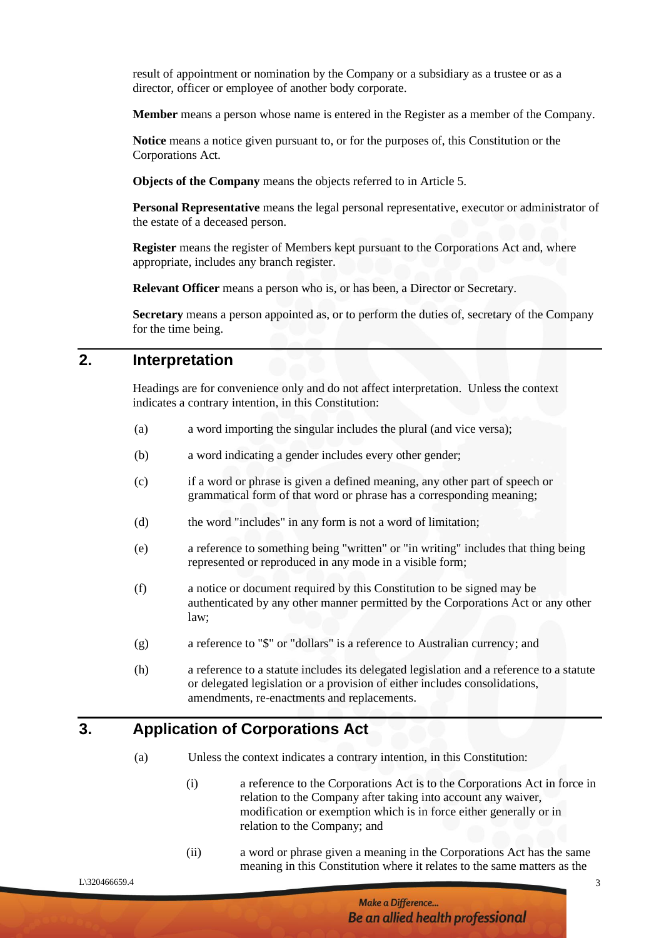result of appointment or nomination by the Company or a subsidiary as a trustee or as a director, officer or employee of another body corporate.

**Member** means a person whose name is entered in the Register as a member of the Company.

**Notice** means a notice given pursuant to, or for the purposes of, this Constitution or the Corporations Act.

**Objects of the Company** means the objects referred to in Article 5.

**Personal Representative** means the legal personal representative, executor or administrator of the estate of a deceased person.

**Register** means the register of Members kept pursuant to the Corporations Act and, where appropriate, includes any branch register.

**Relevant Officer** means a person who is, or has been, a Director or Secretary.

**Secretary** means a person appointed as, or to perform the duties of, secretary of the Company for the time being.

### **2. Interpretation**

Headings are for convenience only and do not affect interpretation. Unless the context indicates a contrary intention, in this Constitution:

- (a) a word importing the singular includes the plural (and vice versa);
- (b) a word indicating a gender includes every other gender;
- (c) if a word or phrase is given a defined meaning, any other part of speech or grammatical form of that word or phrase has a corresponding meaning;
- (d) the word "includes" in any form is not a word of limitation;
- (e) a reference to something being "written" or "in writing" includes that thing being represented or reproduced in any mode in a visible form;
- (f) a notice or document required by this Constitution to be signed may be authenticated by any other manner permitted by the Corporations Act or any other law;
- (g) a reference to "\$" or "dollars" is a reference to Australian currency; and
- (h) a reference to a statute includes its delegated legislation and a reference to a statute or delegated legislation or a provision of either includes consolidations, amendments, re-enactments and replacements.

#### **3. Application of Corporations Act**

- (a) Unless the context indicates a contrary intention, in this Constitution:
	- (i) a reference to the Corporations Act is to the Corporations Act in force in relation to the Company after taking into account any waiver, modification or exemption which is in force either generally or in relation to the Company; and
	- (ii) a word or phrase given a meaning in the Corporations Act has the same meaning in this Constitution where it relates to the same matters as the

 $L\$ 320466659.4 3

Make a Difference... **Be an allied health professional**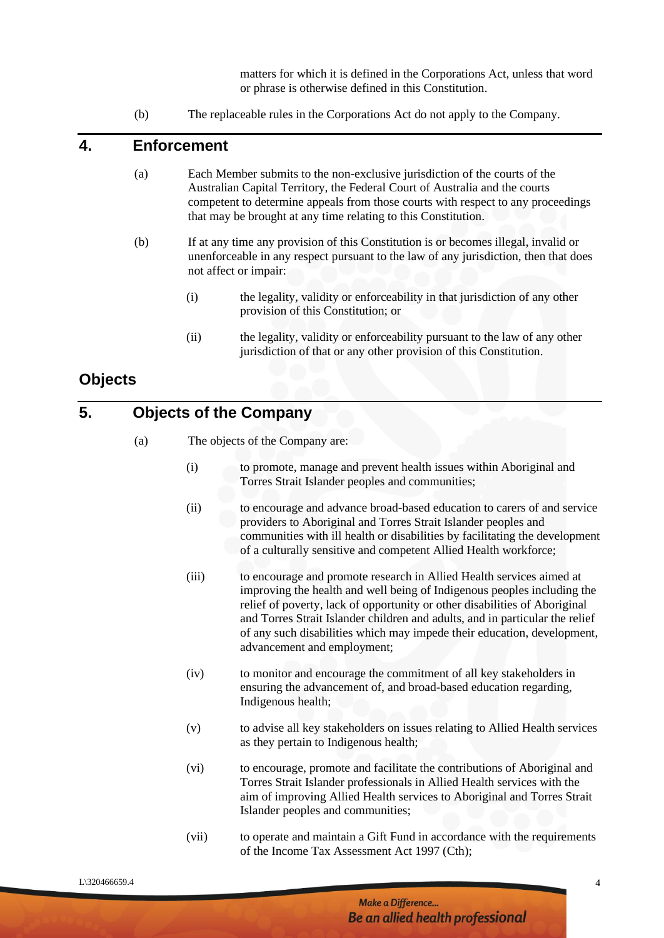matters for which it is defined in the Corporations Act, unless that word or phrase is otherwise defined in this Constitution.

(b) The replaceable rules in the Corporations Act do not apply to the Company.

#### **4. Enforcement**

- (a) Each Member submits to the non-exclusive jurisdiction of the courts of the Australian Capital Territory, the Federal Court of Australia and the courts competent to determine appeals from those courts with respect to any proceedings that may be brought at any time relating to this Constitution.
- (b) If at any time any provision of this Constitution is or becomes illegal, invalid or unenforceable in any respect pursuant to the law of any jurisdiction, then that does not affect or impair:
	- (i) the legality, validity or enforceability in that jurisdiction of any other provision of this Constitution; or
	- (ii) the legality, validity or enforceability pursuant to the law of any other jurisdiction of that or any other provision of this Constitution.

#### **Objects**

# **5. Objects of the Company**

- (a) The objects of the Company are:
	- (i) to promote, manage and prevent health issues within Aboriginal and Torres Strait Islander peoples and communities;
	- (ii) to encourage and advance broad-based education to carers of and service providers to Aboriginal and Torres Strait Islander peoples and communities with ill health or disabilities by facilitating the development of a culturally sensitive and competent Allied Health workforce;
	- (iii) to encourage and promote research in Allied Health services aimed at improving the health and well being of Indigenous peoples including the relief of poverty, lack of opportunity or other disabilities of Aboriginal and Torres Strait Islander children and adults, and in particular the relief of any such disabilities which may impede their education, development, advancement and employment;
	- (iv) to monitor and encourage the commitment of all key stakeholders in ensuring the advancement of, and broad-based education regarding, Indigenous health;
	- (v) to advise all key stakeholders on issues relating to Allied Health services as they pertain to Indigenous health;
	- (vi) to encourage, promote and facilitate the contributions of Aboriginal and Torres Strait Islander professionals in Allied Health services with the aim of improving Allied Health services to Aboriginal and Torres Strait Islander peoples and communities;
	- (vii) to operate and maintain a Gift Fund in accordance with the requirements of the Income Tax Assessment Act 1997 (Cth);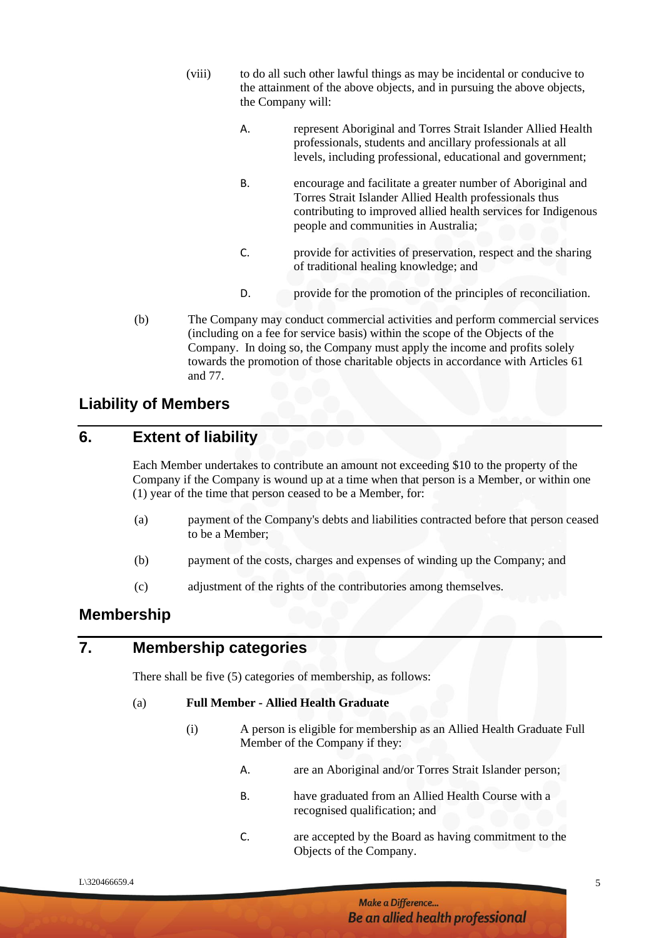- (viii) to do all such other lawful things as may be incidental or conducive to the attainment of the above objects, and in pursuing the above objects, the Company will:
	- A. represent Aboriginal and Torres Strait Islander Allied Health professionals, students and ancillary professionals at all levels, including professional, educational and government;
	- B. encourage and facilitate a greater number of Aboriginal and Torres Strait Islander Allied Health professionals thus contributing to improved allied health services for Indigenous people and communities in Australia;
	- C. provide for activities of preservation, respect and the sharing of traditional healing knowledge; and
	- D. provide for the promotion of the principles of reconciliation.
- (b) The Company may conduct commercial activities and perform commercial services (including on a fee for service basis) within the scope of the Objects of the Company. In doing so, the Company must apply the income and profits solely towards the promotion of those charitable objects in accordance with Articles 61 and 77.

#### **Liability of Members**

### **6. Extent of liability**

Each Member undertakes to contribute an amount not exceeding \$10 to the property of the Company if the Company is wound up at a time when that person is a Member, or within one (1) year of the time that person ceased to be a Member, for:

- (a) payment of the Company's debts and liabilities contracted before that person ceased to be a Member;
- (b) payment of the costs, charges and expenses of winding up the Company; and
- (c) adjustment of the rights of the contributories among themselves.

#### **Membership**

#### **7. Membership categories**

There shall be five (5) categories of membership, as follows:

#### (a) **Full Member - Allied Health Graduate**

- (i) A person is eligible for membership as an Allied Health Graduate Full Member of the Company if they:
	- A. are an Aboriginal and/or Torres Strait Islander person;
	- B. have graduated from an Allied Health Course with a recognised qualification; and
	- C. are accepted by the Board as having commitment to the Objects of the Company.

#### Make a Difference... Be an allied health professional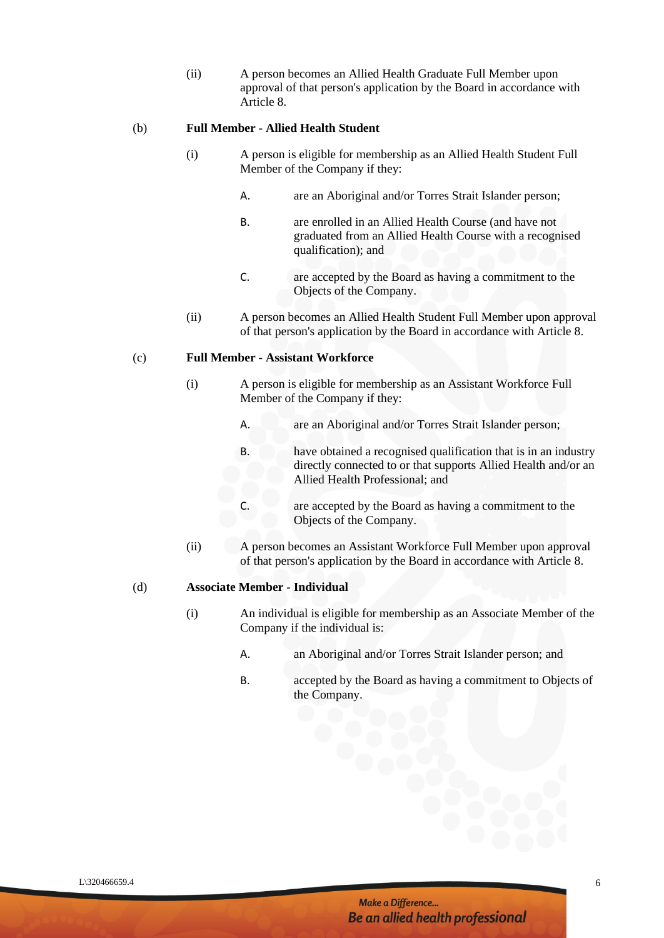(ii) A person becomes an Allied Health Graduate Full Member upon approval of that person's application by the Board in accordance with Article 8.

#### (b) **Full Member - Allied Health Student**

- (i) A person is eligible for membership as an Allied Health Student Full Member of the Company if they:
	- A. are an Aboriginal and/or Torres Strait Islander person;
	- B. are enrolled in an Allied Health Course (and have not graduated from an Allied Health Course with a recognised qualification); and
	- C. are accepted by the Board as having a commitment to the Objects of the Company.
- (ii) A person becomes an Allied Health Student Full Member upon approval of that person's application by the Board in accordance with Article 8.

#### (c) **Full Member - Assistant Workforce**

- (i) A person is eligible for membership as an Assistant Workforce Full Member of the Company if they:
	- A. are an Aboriginal and/or Torres Strait Islander person;
	- B. have obtained a recognised qualification that is in an industry directly connected to or that supports Allied Health and/or an Allied Health Professional; and
	- C. are accepted by the Board as having a commitment to the Objects of the Company.
- (ii) A person becomes an Assistant Workforce Full Member upon approval of that person's application by the Board in accordance with Article 8.

#### (d) **Associate Member - Individual**

- (i) An individual is eligible for membership as an Associate Member of the Company if the individual is:
	- A. an Aboriginal and/or Torres Strait Islander person; and
	- B. accepted by the Board as having a commitment to Objects of the Company.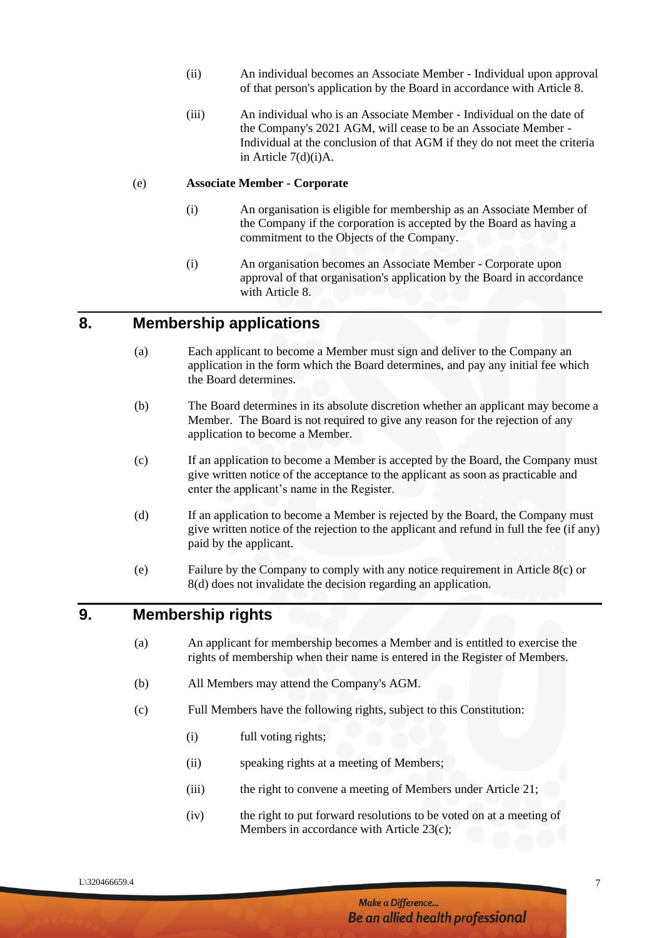- (ii) An individual becomes an Associate Member Individual upon approval of that person's application by the Board in accordance with Article 8.
- (iii) An individual who is an Associate Member Individual on the date of the Company's 2021 AGM, will cease to be an Associate Member - Individual at the conclusion of that AGM if they do not meet the criteria in Article 7(d)(i)A.

#### (e) **Associate Member - Corporate**

- (i) An organisation is eligible for membership as an Associate Member of the Company if the corporation is accepted by the Board as having a commitment to the Objects of the Company.
- (i) An organisation becomes an Associate Member Corporate upon approval of that organisation's application by the Board in accordance with Article 8.

#### **8. Membership applications**

- (a) Each applicant to become a Member must sign and deliver to the Company an application in the form which the Board determines, and pay any initial fee which the Board determines.
- (b) The Board determines in its absolute discretion whether an applicant may become a Member. The Board is not required to give any reason for the rejection of any application to become a Member.
- (c) If an application to become a Member is accepted by the Board, the Company must give written notice of the acceptance to the applicant as soon as practicable and enter the applicant's name in the Register.
- (d) If an application to become a Member is rejected by the Board, the Company must give written notice of the rejection to the applicant and refund in full the fee (if any) paid by the applicant.
- (e) Failure by the Company to comply with any notice requirement in Article 8(c) or 8(d) does not invalidate the decision regarding an application.

#### **9. Membership rights**

- (a) An applicant for membership becomes a Member and is entitled to exercise the rights of membership when their name is entered in the Register of Members.
- (b) All Members may attend the Company's AGM.
- (c) Full Members have the following rights, subject to this Constitution:
	- (i) full voting rights;
	- (ii) speaking rights at a meeting of Members;
	- (iii) the right to convene a meeting of Members under Article 21;
	- (iv) the right to put forward resolutions to be voted on at a meeting of Members in accordance with Article 23(c);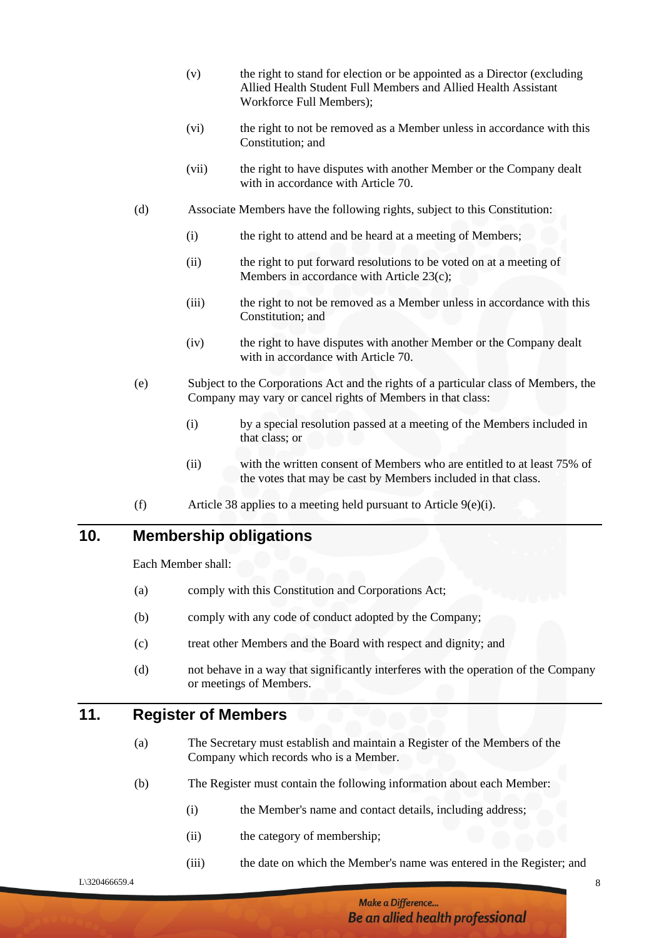- (v) the right to stand for election or be appointed as a Director (excluding Allied Health Student Full Members and Allied Health Assistant Workforce Full Members);
- (vi) the right to not be removed as a Member unless in accordance with this Constitution; and
- (vii) the right to have disputes with another Member or the Company dealt with in accordance with Article 70.
- (d) Associate Members have the following rights, subject to this Constitution:
	- (i) the right to attend and be heard at a meeting of Members;
	- (ii) the right to put forward resolutions to be voted on at a meeting of Members in accordance with Article 23(c);
	- (iii) the right to not be removed as a Member unless in accordance with this Constitution; and
	- (iv) the right to have disputes with another Member or the Company dealt with in accordance with Article 70.
- (e) Subject to the Corporations Act and the rights of a particular class of Members, the Company may vary or cancel rights of Members in that class:
	- (i) by a special resolution passed at a meeting of the Members included in that class; or
	- (ii) with the written consent of Members who are entitled to at least 75% of the votes that may be cast by Members included in that class.
- (f) Article 38 applies to a meeting held pursuant to Article 9(e)(i).

# **10. Membership obligations**

Each Member shall:

- (a) comply with this Constitution and Corporations Act;
- (b) comply with any code of conduct adopted by the Company;
- (c) treat other Members and the Board with respect and dignity; and
- (d) not behave in a way that significantly interferes with the operation of the Company or meetings of Members.

#### **11. Register of Members**

- (a) The Secretary must establish and maintain a Register of the Members of the Company which records who is a Member.
- (b) The Register must contain the following information about each Member:
	- (i) the Member's name and contact details, including address;
	- (ii) the category of membership;
	- (iii) the date on which the Member's name was entered in the Register; and

 $L\$ 320466659.4 8

Make a Difference... **Be an allied health professional**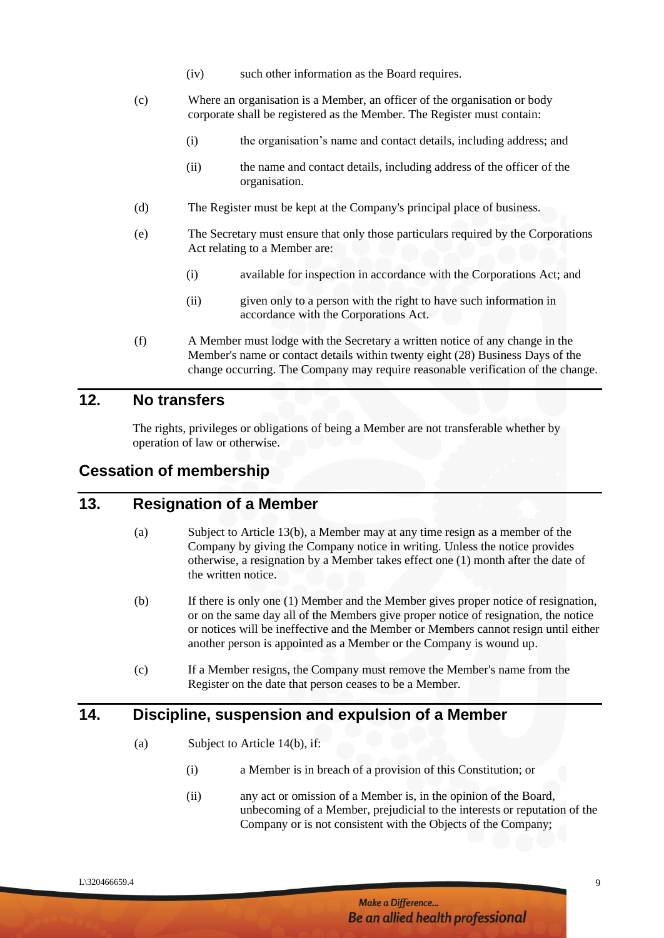- (iv) such other information as the Board requires.
- (c) Where an organisation is a Member, an officer of the organisation or body corporate shall be registered as the Member. The Register must contain:
	- (i) the organisation's name and contact details, including address; and
	- (ii) the name and contact details, including address of the officer of the organisation.
- (d) The Register must be kept at the Company's principal place of business.
- (e) The Secretary must ensure that only those particulars required by the Corporations Act relating to a Member are:
	- (i) available for inspection in accordance with the Corporations Act; and
	- (ii) given only to a person with the right to have such information in accordance with the Corporations Act.
- (f) A Member must lodge with the Secretary a written notice of any change in the Member's name or contact details within twenty eight (28) Business Days of the change occurring. The Company may require reasonable verification of the change.

### **12. No transfers**

The rights, privileges or obligations of being a Member are not transferable whether by operation of law or otherwise.

#### **Cessation of membership**

#### **13. Resignation of a Member**

- (a) Subject to Article 13(b), a Member may at any time resign as a member of the Company by giving the Company notice in writing. Unless the notice provides otherwise, a resignation by a Member takes effect one (1) month after the date of the written notice.
- (b) If there is only one (1) Member and the Member gives proper notice of resignation, or on the same day all of the Members give proper notice of resignation, the notice or notices will be ineffective and the Member or Members cannot resign until either another person is appointed as a Member or the Company is wound up.
- (c) If a Member resigns, the Company must remove the Member's name from the Register on the date that person ceases to be a Member.

#### **14. Discipline, suspension and expulsion of a Member**

- (a) Subject to Article 14(b), if:
	- (i) a Member is in breach of a provision of this Constitution; or
	- (ii) any act or omission of a Member is, in the opinion of the Board, unbecoming of a Member, prejudicial to the interests or reputation of the Company or is not consistent with the Objects of the Company;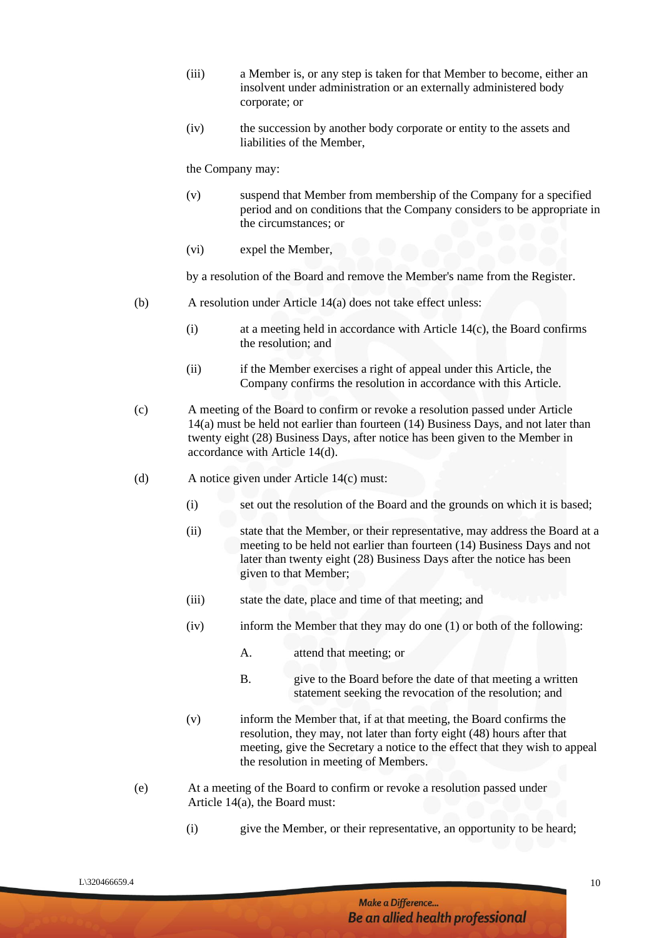- (iii) a Member is, or any step is taken for that Member to become, either an insolvent under administration or an externally administered body corporate; or
- (iv) the succession by another body corporate or entity to the assets and liabilities of the Member,

the Company may:

- (v) suspend that Member from membership of the Company for a specified period and on conditions that the Company considers to be appropriate in the circumstances; or
- (vi) expel the Member,

by a resolution of the Board and remove the Member's name from the Register.

- (b) A resolution under Article 14(a) does not take effect unless:
	- (i) at a meeting held in accordance with Article 14(c), the Board confirms the resolution; and
	- (ii) if the Member exercises a right of appeal under this Article, the Company confirms the resolution in accordance with this Article.
- (c) A meeting of the Board to confirm or revoke a resolution passed under Article 14(a) must be held not earlier than fourteen (14) Business Days, and not later than twenty eight (28) Business Days, after notice has been given to the Member in accordance with Article 14(d).
- (d) A notice given under Article 14(c) must:
	- (i) set out the resolution of the Board and the grounds on which it is based;
	- (ii) state that the Member, or their representative, may address the Board at a meeting to be held not earlier than fourteen (14) Business Days and not later than twenty eight (28) Business Days after the notice has been given to that Member;
	- (iii) state the date, place and time of that meeting; and
	- (iv) inform the Member that they may do one (1) or both of the following:
		- A. attend that meeting; or
		- B. give to the Board before the date of that meeting a written statement seeking the revocation of the resolution; and
	- (v) inform the Member that, if at that meeting, the Board confirms the resolution, they may, not later than forty eight (48) hours after that meeting, give the Secretary a notice to the effect that they wish to appeal the resolution in meeting of Members.
- (e) At a meeting of the Board to confirm or revoke a resolution passed under Article 14(a), the Board must:
	- (i) give the Member, or their representative, an opportunity to be heard;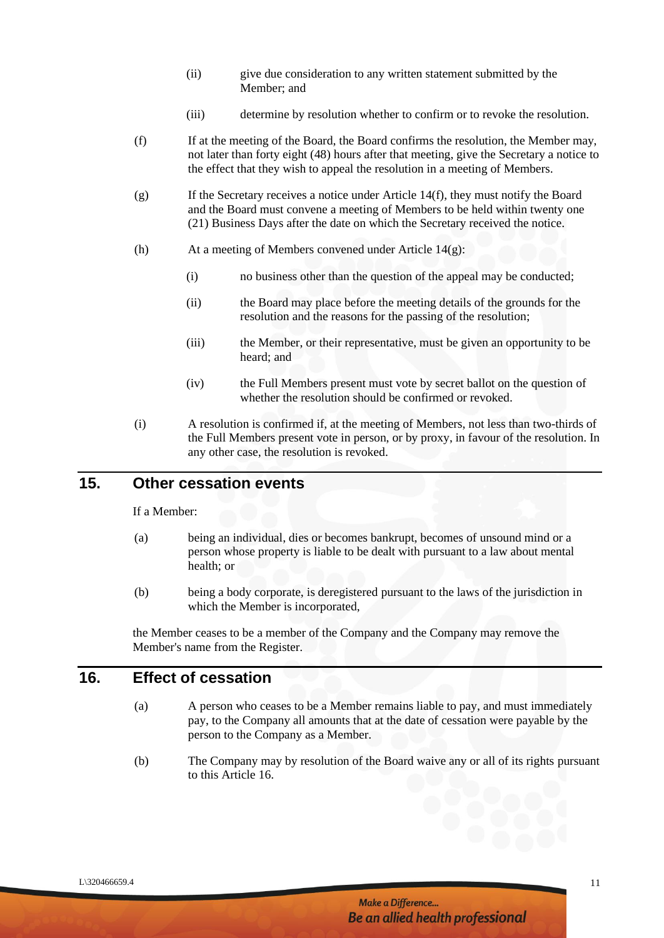- (ii) give due consideration to any written statement submitted by the Member; and
- (iii) determine by resolution whether to confirm or to revoke the resolution.
- (f) If at the meeting of the Board, the Board confirms the resolution, the Member may, not later than forty eight (48) hours after that meeting, give the Secretary a notice to the effect that they wish to appeal the resolution in a meeting of Members.
- (g) If the Secretary receives a notice under Article 14(f), they must notify the Board and the Board must convene a meeting of Members to be held within twenty one (21) Business Days after the date on which the Secretary received the notice.
- (h) At a meeting of Members convened under Article 14(g):
	- (i) no business other than the question of the appeal may be conducted;
	- (ii) the Board may place before the meeting details of the grounds for the resolution and the reasons for the passing of the resolution;
	- (iii) the Member, or their representative, must be given an opportunity to be heard; and
	- (iv) the Full Members present must vote by secret ballot on the question of whether the resolution should be confirmed or revoked.
- (i) A resolution is confirmed if, at the meeting of Members, not less than two-thirds of the Full Members present vote in person, or by proxy, in favour of the resolution. In any other case, the resolution is revoked.

# **15. Other cessation events**

If a Member:

- (a) being an individual, dies or becomes bankrupt, becomes of unsound mind or a person whose property is liable to be dealt with pursuant to a law about mental health; or
- (b) being a body corporate, is deregistered pursuant to the laws of the jurisdiction in which the Member is incorporated,

the Member ceases to be a member of the Company and the Company may remove the Member's name from the Register.

#### **16. Effect of cessation**

- (a) A person who ceases to be a Member remains liable to pay, and must immediately pay, to the Company all amounts that at the date of cessation were payable by the person to the Company as a Member.
- (b) The Company may by resolution of the Board waive any or all of its rights pursuant to this Article 16.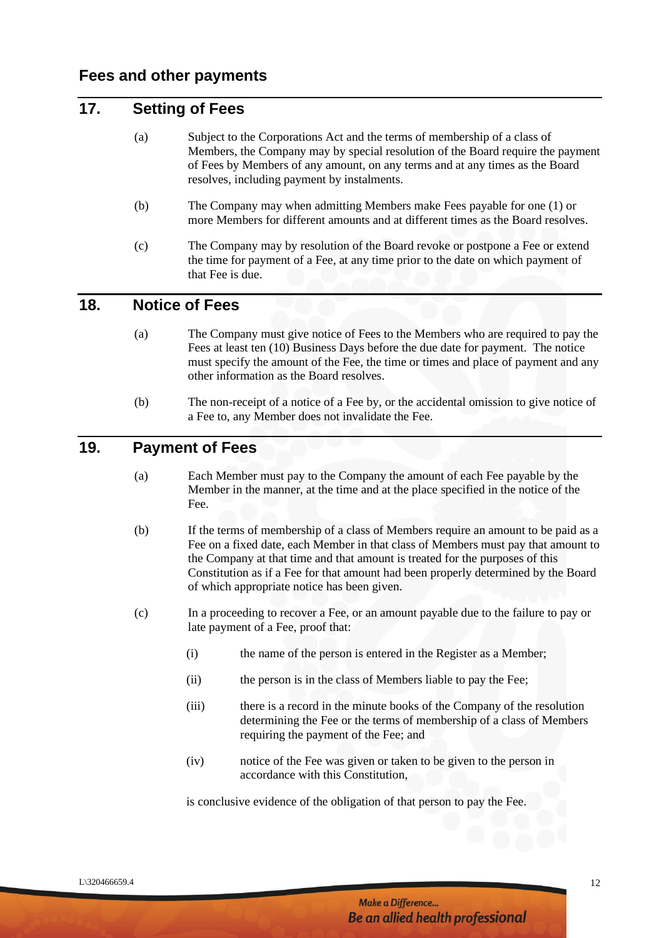# **17. Setting of Fees**

- (a) Subject to the Corporations Act and the terms of membership of a class of Members, the Company may by special resolution of the Board require the payment of Fees by Members of any amount, on any terms and at any times as the Board resolves, including payment by instalments.
- (b) The Company may when admitting Members make Fees payable for one (1) or more Members for different amounts and at different times as the Board resolves.
- (c) The Company may by resolution of the Board revoke or postpone a Fee or extend the time for payment of a Fee, at any time prior to the date on which payment of that Fee is due.

#### **18. Notice of Fees**

- (a) The Company must give notice of Fees to the Members who are required to pay the Fees at least ten (10) Business Days before the due date for payment. The notice must specify the amount of the Fee, the time or times and place of payment and any other information as the Board resolves.
- (b) The non-receipt of a notice of a Fee by, or the accidental omission to give notice of a Fee to, any Member does not invalidate the Fee.

# **19. Payment of Fees**

- (a) Each Member must pay to the Company the amount of each Fee payable by the Member in the manner, at the time and at the place specified in the notice of the Fee.
- (b) If the terms of membership of a class of Members require an amount to be paid as a Fee on a fixed date, each Member in that class of Members must pay that amount to the Company at that time and that amount is treated for the purposes of this Constitution as if a Fee for that amount had been properly determined by the Board of which appropriate notice has been given.
- (c) In a proceeding to recover a Fee, or an amount payable due to the failure to pay or late payment of a Fee, proof that:
	- (i) the name of the person is entered in the Register as a Member;
	- (ii) the person is in the class of Members liable to pay the Fee;
	- (iii) there is a record in the minute books of the Company of the resolution determining the Fee or the terms of membership of a class of Members requiring the payment of the Fee; and
	- (iv) notice of the Fee was given or taken to be given to the person in accordance with this Constitution,

is conclusive evidence of the obligation of that person to pay the Fee.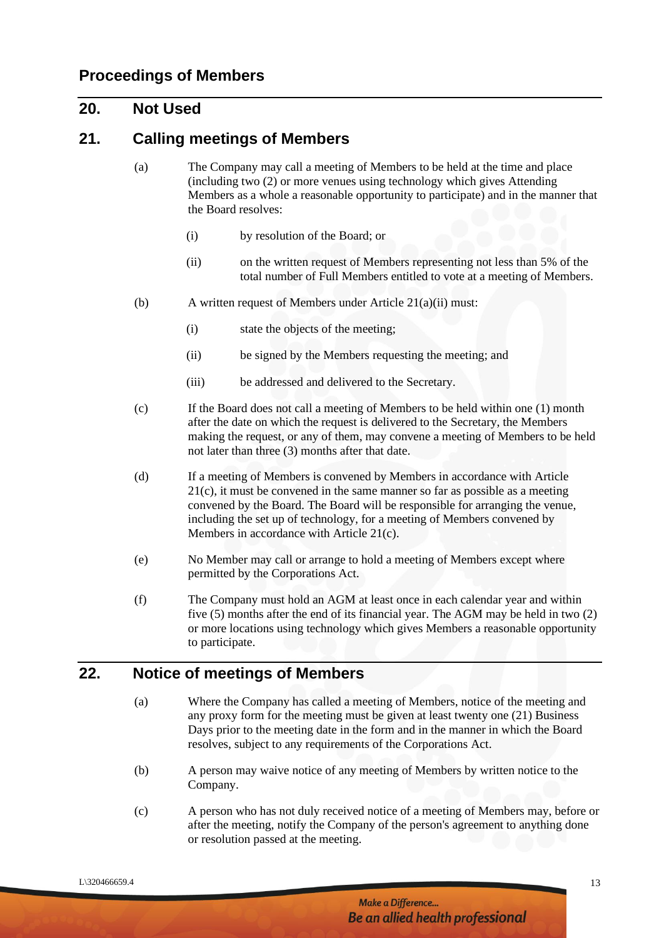#### **20. Not Used**

#### **21. Calling meetings of Members**

- (a) The Company may call a meeting of Members to be held at the time and place (including two (2) or more venues using technology which gives Attending Members as a whole a reasonable opportunity to participate) and in the manner that the Board resolves:
	- (i) by resolution of the Board; or
	- (ii) on the written request of Members representing not less than 5% of the total number of Full Members entitled to vote at a meeting of Members.
- (b) A written request of Members under Article 21(a)(ii) must:
	- (i) state the objects of the meeting;
	- (ii) be signed by the Members requesting the meeting; and
	- (iii) be addressed and delivered to the Secretary.
- (c) If the Board does not call a meeting of Members to be held within one (1) month after the date on which the request is delivered to the Secretary, the Members making the request, or any of them, may convene a meeting of Members to be held not later than three (3) months after that date.
- (d) If a meeting of Members is convened by Members in accordance with Article 21(c), it must be convened in the same manner so far as possible as a meeting convened by the Board. The Board will be responsible for arranging the venue, including the set up of technology, for a meeting of Members convened by Members in accordance with Article 21(c).
- (e) No Member may call or arrange to hold a meeting of Members except where permitted by the Corporations Act.
- (f) The Company must hold an AGM at least once in each calendar year and within five (5) months after the end of its financial year. The AGM may be held in two (2) or more locations using technology which gives Members a reasonable opportunity to participate.

#### **22. Notice of meetings of Members**

- (a) Where the Company has called a meeting of Members, notice of the meeting and any proxy form for the meeting must be given at least twenty one (21) Business Days prior to the meeting date in the form and in the manner in which the Board resolves, subject to any requirements of the Corporations Act.
- (b) A person may waive notice of any meeting of Members by written notice to the Company.
- (c) A person who has not duly received notice of a meeting of Members may, before or after the meeting, notify the Company of the person's agreement to anything done or resolution passed at the meeting.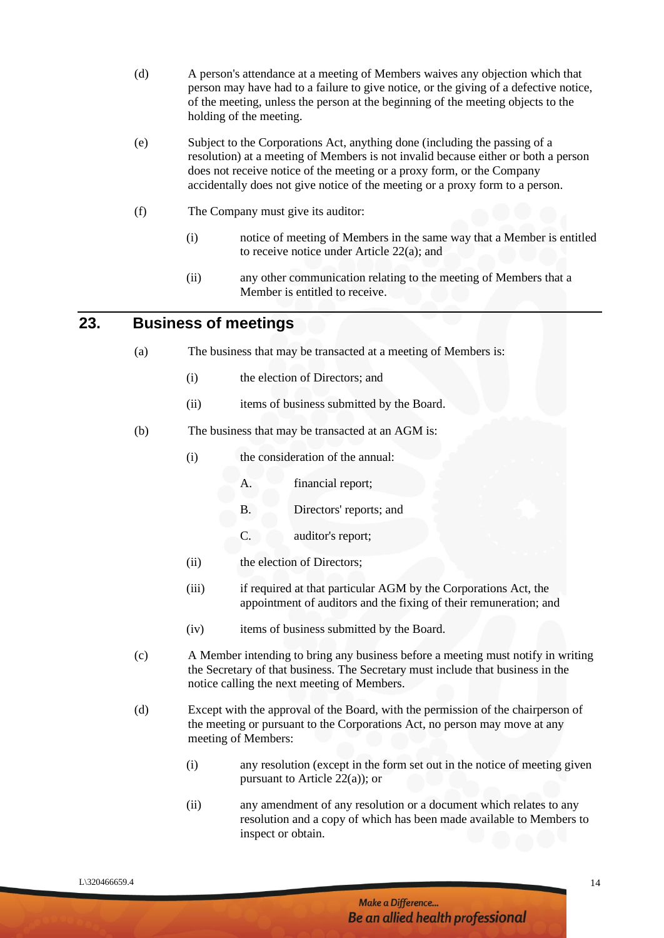- (d) A person's attendance at a meeting of Members waives any objection which that person may have had to a failure to give notice, or the giving of a defective notice, of the meeting, unless the person at the beginning of the meeting objects to the holding of the meeting.
- (e) Subject to the Corporations Act, anything done (including the passing of a resolution) at a meeting of Members is not invalid because either or both a person does not receive notice of the meeting or a proxy form, or the Company accidentally does not give notice of the meeting or a proxy form to a person.
- (f) The Company must give its auditor:
	- (i) notice of meeting of Members in the same way that a Member is entitled to receive notice under Article 22(a); and
	- (ii) any other communication relating to the meeting of Members that a Member is entitled to receive.

#### **23. Business of meetings**

- (a) The business that may be transacted at a meeting of Members is:
	- (i) the election of Directors; and
	- (ii) items of business submitted by the Board.
- (b) The business that may be transacted at an AGM is:
	- (i) the consideration of the annual:
		- A. financial report;
		- B. Directors' reports; and
		- C. auditor's report;
	- (ii) the election of Directors;
	- (iii) if required at that particular AGM by the Corporations Act, the appointment of auditors and the fixing of their remuneration; and
	- (iv) items of business submitted by the Board.
- (c) A Member intending to bring any business before a meeting must notify in writing the Secretary of that business. The Secretary must include that business in the notice calling the next meeting of Members.
- (d) Except with the approval of the Board, with the permission of the chairperson of the meeting or pursuant to the Corporations Act, no person may move at any meeting of Members:
	- (i) any resolution (except in the form set out in the notice of meeting given pursuant to Article 22(a)); or
	- (ii) any amendment of any resolution or a document which relates to any resolution and a copy of which has been made available to Members to inspect or obtain.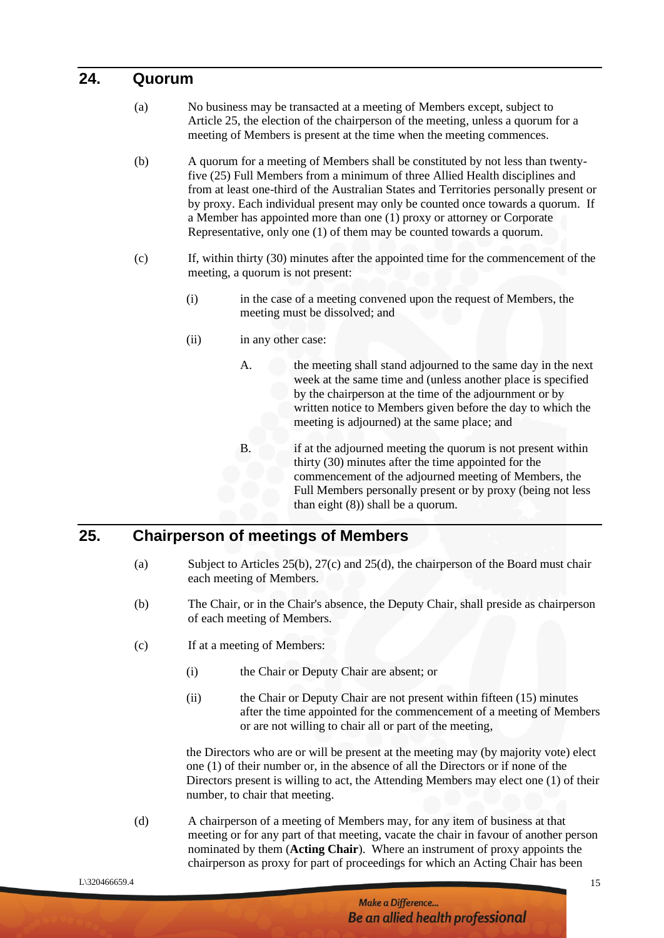#### **24. Quorum**

- (a) No business may be transacted at a meeting of Members except, subject to Article 25, the election of the chairperson of the meeting, unless a quorum for a meeting of Members is present at the time when the meeting commences.
- (b) A quorum for a meeting of Members shall be constituted by not less than twentyfive (25) Full Members from a minimum of three Allied Health disciplines and from at least one-third of the Australian States and Territories personally present or by proxy. Each individual present may only be counted once towards a quorum. If a Member has appointed more than one (1) proxy or attorney or Corporate Representative, only one (1) of them may be counted towards a quorum.
- (c) If, within thirty (30) minutes after the appointed time for the commencement of the meeting, a quorum is not present:
	- (i) in the case of a meeting convened upon the request of Members, the meeting must be dissolved; and
	- (ii) in any other case:

A. the meeting shall stand adjourned to the same day in the next week at the same time and (unless another place is specified by the chairperson at the time of the adjournment or by written notice to Members given before the day to which the meeting is adjourned) at the same place; and

B. if at the adjourned meeting the quorum is not present within thirty (30) minutes after the time appointed for the commencement of the adjourned meeting of Members, the Full Members personally present or by proxy (being not less than eight (8)) shall be a quorum.

# **25. Chairperson of meetings of Members**

- (a) Subject to Articles 25(b), 27(c) and 25(d), the chairperson of the Board must chair each meeting of Members.
- (b) The Chair, or in the Chair's absence, the Deputy Chair, shall preside as chairperson of each meeting of Members.
- (c) If at a meeting of Members:
	- (i) the Chair or Deputy Chair are absent; or
	- (ii) the Chair or Deputy Chair are not present within fifteen (15) minutes after the time appointed for the commencement of a meeting of Members or are not willing to chair all or part of the meeting,

the Directors who are or will be present at the meeting may (by majority vote) elect one (1) of their number or, in the absence of all the Directors or if none of the Directors present is willing to act, the Attending Members may elect one (1) of their number, to chair that meeting.

(d) A chairperson of a meeting of Members may, for any item of business at that meeting or for any part of that meeting, vacate the chair in favour of another person nominated by them (**Acting Chair**). Where an instrument of proxy appoints the chairperson as proxy for part of proceedings for which an Acting Chair has been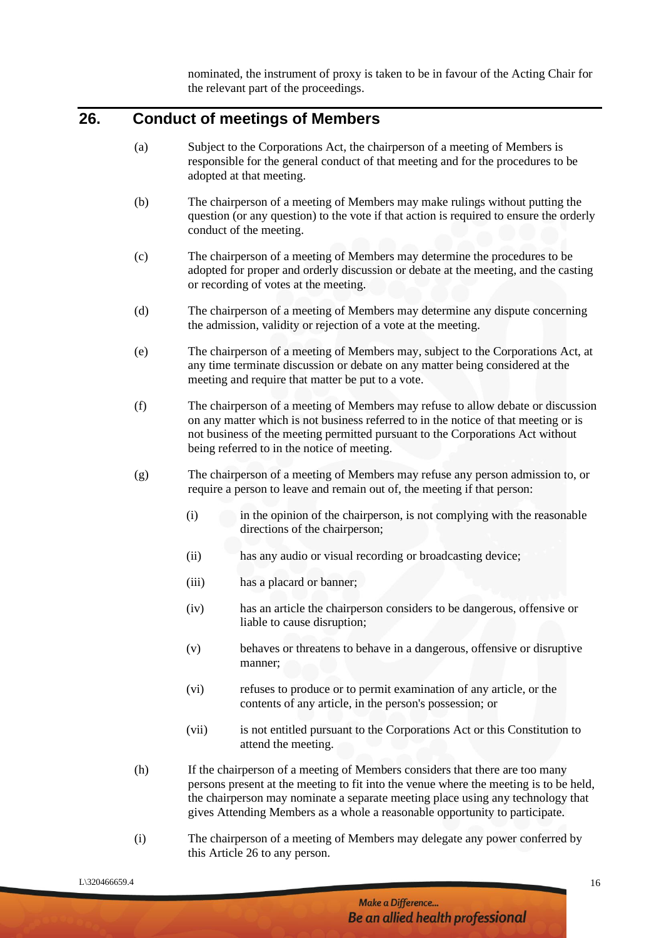nominated, the instrument of proxy is taken to be in favour of the Acting Chair for the relevant part of the proceedings.

### **26. Conduct of meetings of Members**

- (a) Subject to the Corporations Act, the chairperson of a meeting of Members is responsible for the general conduct of that meeting and for the procedures to be adopted at that meeting.
- (b) The chairperson of a meeting of Members may make rulings without putting the question (or any question) to the vote if that action is required to ensure the orderly conduct of the meeting.
- (c) The chairperson of a meeting of Members may determine the procedures to be adopted for proper and orderly discussion or debate at the meeting, and the casting or recording of votes at the meeting.
- (d) The chairperson of a meeting of Members may determine any dispute concerning the admission, validity or rejection of a vote at the meeting.
- (e) The chairperson of a meeting of Members may, subject to the Corporations Act, at any time terminate discussion or debate on any matter being considered at the meeting and require that matter be put to a vote.
- (f) The chairperson of a meeting of Members may refuse to allow debate or discussion on any matter which is not business referred to in the notice of that meeting or is not business of the meeting permitted pursuant to the Corporations Act without being referred to in the notice of meeting.
- (g) The chairperson of a meeting of Members may refuse any person admission to, or require a person to leave and remain out of, the meeting if that person:
	- (i) in the opinion of the chairperson, is not complying with the reasonable directions of the chairperson;
	- (ii) has any audio or visual recording or broadcasting device;
	- (iii) has a placard or banner;
	- (iv) has an article the chairperson considers to be dangerous, offensive or liable to cause disruption;
	- (v) behaves or threatens to behave in a dangerous, offensive or disruptive manner;
	- (vi) refuses to produce or to permit examination of any article, or the contents of any article, in the person's possession; or
	- (vii) is not entitled pursuant to the Corporations Act or this Constitution to attend the meeting.
- (h) If the chairperson of a meeting of Members considers that there are too many persons present at the meeting to fit into the venue where the meeting is to be held, the chairperson may nominate a separate meeting place using any technology that gives Attending Members as a whole a reasonable opportunity to participate.
- (i) The chairperson of a meeting of Members may delegate any power conferred by this Article 26 to any person.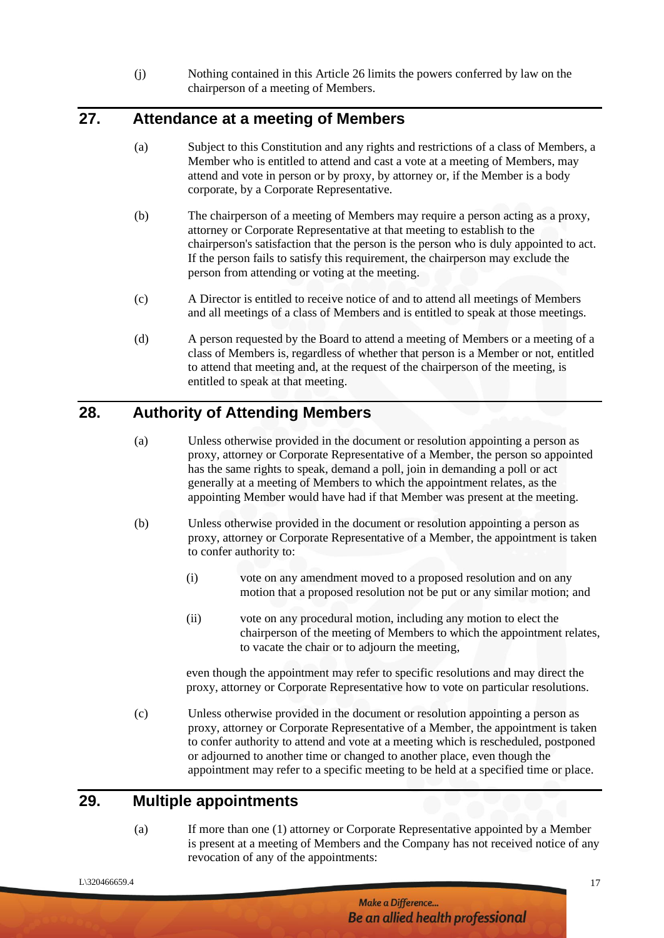(j) Nothing contained in this Article 26 limits the powers conferred by law on the chairperson of a meeting of Members.

# **27. Attendance at a meeting of Members**

- (a) Subject to this Constitution and any rights and restrictions of a class of Members, a Member who is entitled to attend and cast a vote at a meeting of Members, may attend and vote in person or by proxy, by attorney or, if the Member is a body corporate, by a Corporate Representative.
- (b) The chairperson of a meeting of Members may require a person acting as a proxy, attorney or Corporate Representative at that meeting to establish to the chairperson's satisfaction that the person is the person who is duly appointed to act. If the person fails to satisfy this requirement, the chairperson may exclude the person from attending or voting at the meeting.
- (c) A Director is entitled to receive notice of and to attend all meetings of Members and all meetings of a class of Members and is entitled to speak at those meetings.
- (d) A person requested by the Board to attend a meeting of Members or a meeting of a class of Members is, regardless of whether that person is a Member or not, entitled to attend that meeting and, at the request of the chairperson of the meeting, is entitled to speak at that meeting.

# **28. Authority of Attending Members**

- (a) Unless otherwise provided in the document or resolution appointing a person as proxy, attorney or Corporate Representative of a Member, the person so appointed has the same rights to speak, demand a poll, join in demanding a poll or act generally at a meeting of Members to which the appointment relates, as the appointing Member would have had if that Member was present at the meeting.
- (b) Unless otherwise provided in the document or resolution appointing a person as proxy, attorney or Corporate Representative of a Member, the appointment is taken to confer authority to:
	- (i) vote on any amendment moved to a proposed resolution and on any motion that a proposed resolution not be put or any similar motion; and
	- (ii) vote on any procedural motion, including any motion to elect the chairperson of the meeting of Members to which the appointment relates, to vacate the chair or to adjourn the meeting,

even though the appointment may refer to specific resolutions and may direct the proxy, attorney or Corporate Representative how to vote on particular resolutions.

(c) Unless otherwise provided in the document or resolution appointing a person as proxy, attorney or Corporate Representative of a Member, the appointment is taken to confer authority to attend and vote at a meeting which is rescheduled, postponed or adjourned to another time or changed to another place, even though the appointment may refer to a specific meeting to be held at a specified time or place.

# **29. Multiple appointments**

(a) If more than one (1) attorney or Corporate Representative appointed by a Member is present at a meeting of Members and the Company has not received notice of any revocation of any of the appointments:

#### Make a Difference... **Be an allied health professional**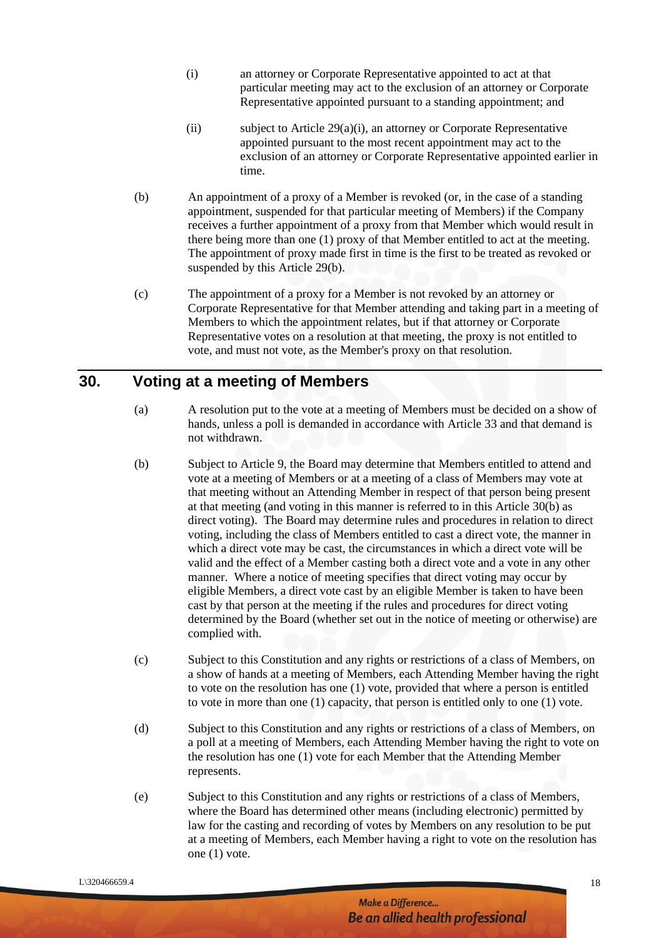- (i) an attorney or Corporate Representative appointed to act at that particular meeting may act to the exclusion of an attorney or Corporate Representative appointed pursuant to a standing appointment; and
- (ii) subject to Article 29(a)(i), an attorney or Corporate Representative appointed pursuant to the most recent appointment may act to the exclusion of an attorney or Corporate Representative appointed earlier in time.
- (b) An appointment of a proxy of a Member is revoked (or, in the case of a standing appointment, suspended for that particular meeting of Members) if the Company receives a further appointment of a proxy from that Member which would result in there being more than one (1) proxy of that Member entitled to act at the meeting. The appointment of proxy made first in time is the first to be treated as revoked or suspended by this Article 29(b).
- (c) The appointment of a proxy for a Member is not revoked by an attorney or Corporate Representative for that Member attending and taking part in a meeting of Members to which the appointment relates, but if that attorney or Corporate Representative votes on a resolution at that meeting, the proxy is not entitled to vote, and must not vote, as the Member's proxy on that resolution.

## **30. Voting at a meeting of Members**

- (a) A resolution put to the vote at a meeting of Members must be decided on a show of hands, unless a poll is demanded in accordance with Article 33 and that demand is not withdrawn.
- (b) Subject to Article 9, the Board may determine that Members entitled to attend and vote at a meeting of Members or at a meeting of a class of Members may vote at that meeting without an Attending Member in respect of that person being present at that meeting (and voting in this manner is referred to in this Article 30(b) as direct voting). The Board may determine rules and procedures in relation to direct voting, including the class of Members entitled to cast a direct vote, the manner in which a direct vote may be cast, the circumstances in which a direct vote will be valid and the effect of a Member casting both a direct vote and a vote in any other manner. Where a notice of meeting specifies that direct voting may occur by eligible Members, a direct vote cast by an eligible Member is taken to have been cast by that person at the meeting if the rules and procedures for direct voting determined by the Board (whether set out in the notice of meeting or otherwise) are complied with.
- (c) Subject to this Constitution and any rights or restrictions of a class of Members, on a show of hands at a meeting of Members, each Attending Member having the right to vote on the resolution has one (1) vote, provided that where a person is entitled to vote in more than one (1) capacity, that person is entitled only to one (1) vote.
- (d) Subject to this Constitution and any rights or restrictions of a class of Members, on a poll at a meeting of Members, each Attending Member having the right to vote on the resolution has one (1) vote for each Member that the Attending Member represents.
- (e) Subject to this Constitution and any rights or restrictions of a class of Members, where the Board has determined other means (including electronic) permitted by law for the casting and recording of votes by Members on any resolution to be put at a meeting of Members, each Member having a right to vote on the resolution has one (1) vote.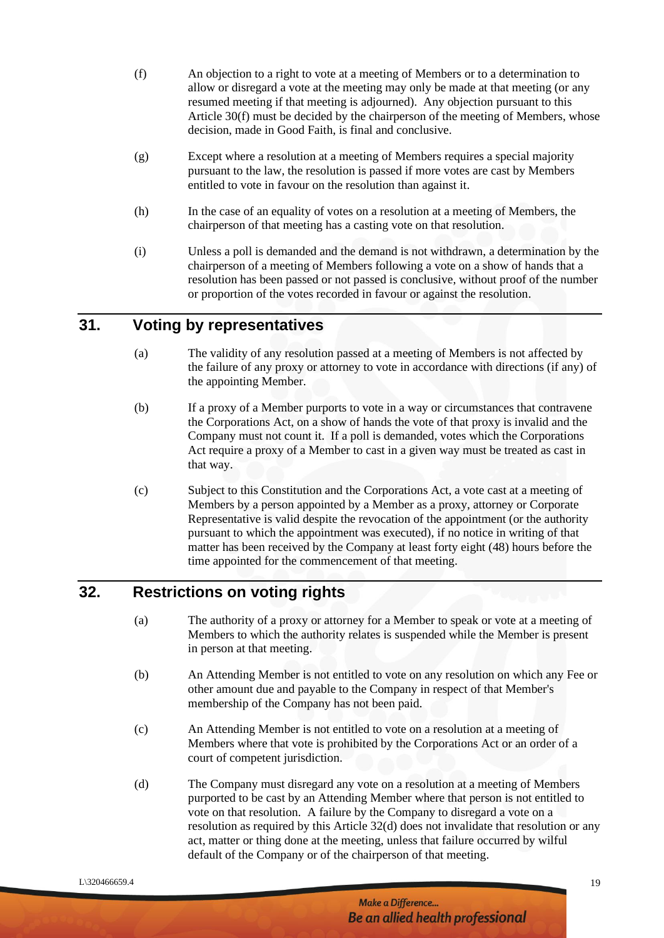- (f) An objection to a right to vote at a meeting of Members or to a determination to allow or disregard a vote at the meeting may only be made at that meeting (or any resumed meeting if that meeting is adjourned). Any objection pursuant to this Article 30(f) must be decided by the chairperson of the meeting of Members, whose decision, made in Good Faith, is final and conclusive.
- (g) Except where a resolution at a meeting of Members requires a special majority pursuant to the law, the resolution is passed if more votes are cast by Members entitled to vote in favour on the resolution than against it.
- (h) In the case of an equality of votes on a resolution at a meeting of Members, the chairperson of that meeting has a casting vote on that resolution.
- (i) Unless a poll is demanded and the demand is not withdrawn, a determination by the chairperson of a meeting of Members following a vote on a show of hands that a resolution has been passed or not passed is conclusive, without proof of the number or proportion of the votes recorded in favour or against the resolution.

### **31. Voting by representatives**

- (a) The validity of any resolution passed at a meeting of Members is not affected by the failure of any proxy or attorney to vote in accordance with directions (if any) of the appointing Member.
- (b) If a proxy of a Member purports to vote in a way or circumstances that contravene the Corporations Act, on a show of hands the vote of that proxy is invalid and the Company must not count it. If a poll is demanded, votes which the Corporations Act require a proxy of a Member to cast in a given way must be treated as cast in that way.
- (c) Subject to this Constitution and the Corporations Act, a vote cast at a meeting of Members by a person appointed by a Member as a proxy, attorney or Corporate Representative is valid despite the revocation of the appointment (or the authority pursuant to which the appointment was executed), if no notice in writing of that matter has been received by the Company at least forty eight (48) hours before the time appointed for the commencement of that meeting.

#### **32. Restrictions on voting rights**

- (a) The authority of a proxy or attorney for a Member to speak or vote at a meeting of Members to which the authority relates is suspended while the Member is present in person at that meeting.
- (b) An Attending Member is not entitled to vote on any resolution on which any Fee or other amount due and payable to the Company in respect of that Member's membership of the Company has not been paid.
- (c) An Attending Member is not entitled to vote on a resolution at a meeting of Members where that vote is prohibited by the Corporations Act or an order of a court of competent jurisdiction.
- (d) The Company must disregard any vote on a resolution at a meeting of Members purported to be cast by an Attending Member where that person is not entitled to vote on that resolution. A failure by the Company to disregard a vote on a resolution as required by this Article 32(d) does not invalidate that resolution or any act, matter or thing done at the meeting, unless that failure occurred by wilful default of the Company or of the chairperson of that meeting.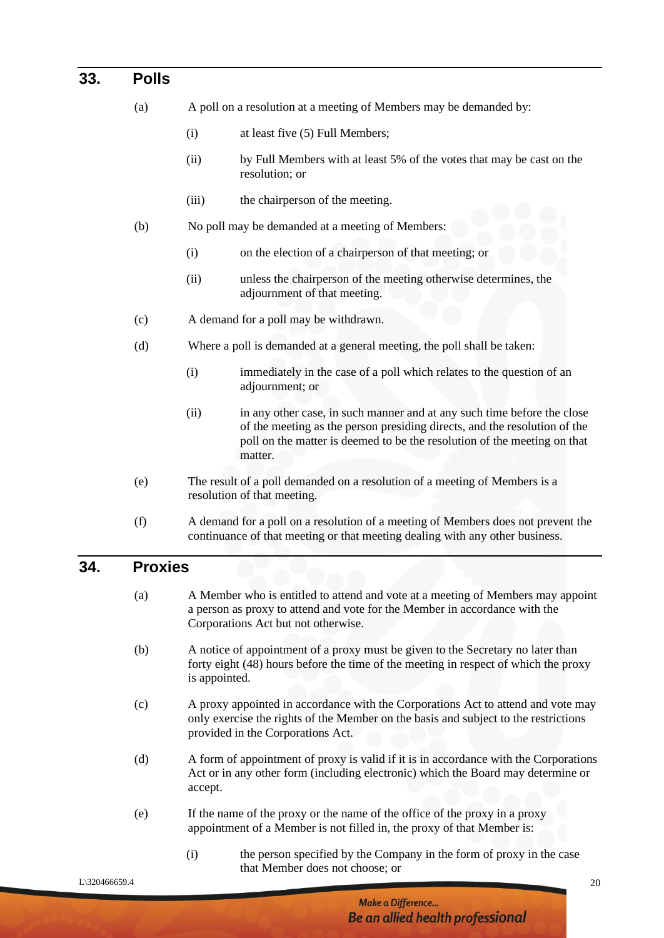#### **33. Polls**

- (a) A poll on a resolution at a meeting of Members may be demanded by:
	- (i) at least five (5) Full Members;
	- (ii) by Full Members with at least 5% of the votes that may be cast on the resolution; or
	- (iii) the chairperson of the meeting.
- (b) No poll may be demanded at a meeting of Members:
	- (i) on the election of a chairperson of that meeting; or
	- (ii) unless the chairperson of the meeting otherwise determines, the adjournment of that meeting.
- (c) A demand for a poll may be withdrawn.
- (d) Where a poll is demanded at a general meeting, the poll shall be taken:
	- (i) immediately in the case of a poll which relates to the question of an adjournment; or
	- (ii) in any other case, in such manner and at any such time before the close of the meeting as the person presiding directs, and the resolution of the poll on the matter is deemed to be the resolution of the meeting on that matter.
- (e) The result of a poll demanded on a resolution of a meeting of Members is a resolution of that meeting.
- (f) A demand for a poll on a resolution of a meeting of Members does not prevent the continuance of that meeting or that meeting dealing with any other business.

#### **34. Proxies**

- (a) A Member who is entitled to attend and vote at a meeting of Members may appoint a person as proxy to attend and vote for the Member in accordance with the Corporations Act but not otherwise.
- (b) A notice of appointment of a proxy must be given to the Secretary no later than forty eight (48) hours before the time of the meeting in respect of which the proxy is appointed.
- (c) A proxy appointed in accordance with the Corporations Act to attend and vote may only exercise the rights of the Member on the basis and subject to the restrictions provided in the Corporations Act.
- (d) A form of appointment of proxy is valid if it is in accordance with the Corporations Act or in any other form (including electronic) which the Board may determine or accept.
- (e) If the name of the proxy or the name of the office of the proxy in a proxy appointment of a Member is not filled in, the proxy of that Member is:
	- (i) the person specified by the Company in the form of proxy in the case that Member does not choose; or

 $L\$ 320466659.4 20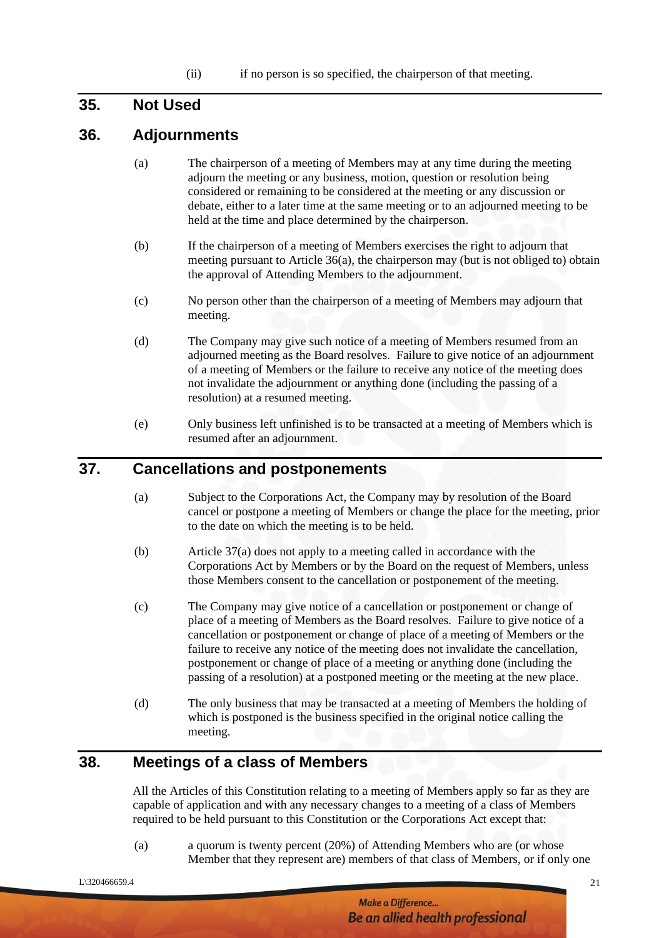#### **35. Not Used**

#### **36. Adjournments**

- (a) The chairperson of a meeting of Members may at any time during the meeting adjourn the meeting or any business, motion, question or resolution being considered or remaining to be considered at the meeting or any discussion or debate, either to a later time at the same meeting or to an adjourned meeting to be held at the time and place determined by the chairperson.
- (b) If the chairperson of a meeting of Members exercises the right to adjourn that meeting pursuant to Article 36(a), the chairperson may (but is not obliged to) obtain the approval of Attending Members to the adjournment.
- (c) No person other than the chairperson of a meeting of Members may adjourn that meeting.
- (d) The Company may give such notice of a meeting of Members resumed from an adjourned meeting as the Board resolves. Failure to give notice of an adjournment of a meeting of Members or the failure to receive any notice of the meeting does not invalidate the adjournment or anything done (including the passing of a resolution) at a resumed meeting.
- (e) Only business left unfinished is to be transacted at a meeting of Members which is resumed after an adjournment.

# **37. Cancellations and postponements**

- (a) Subject to the Corporations Act, the Company may by resolution of the Board cancel or postpone a meeting of Members or change the place for the meeting, prior to the date on which the meeting is to be held.
- (b) Article 37(a) does not apply to a meeting called in accordance with the Corporations Act by Members or by the Board on the request of Members, unless those Members consent to the cancellation or postponement of the meeting.
- (c) The Company may give notice of a cancellation or postponement or change of place of a meeting of Members as the Board resolves. Failure to give notice of a cancellation or postponement or change of place of a meeting of Members or the failure to receive any notice of the meeting does not invalidate the cancellation, postponement or change of place of a meeting or anything done (including the passing of a resolution) at a postponed meeting or the meeting at the new place.
- (d) The only business that may be transacted at a meeting of Members the holding of which is postponed is the business specified in the original notice calling the meeting.

# **38. Meetings of a class of Members**

All the Articles of this Constitution relating to a meeting of Members apply so far as they are capable of application and with any necessary changes to a meeting of a class of Members required to be held pursuant to this Constitution or the Corporations Act except that:

(a) a quorum is twenty percent (20%) of Attending Members who are (or whose Member that they represent are) members of that class of Members, or if only one

 $L\$ 320466659.4 21

Make a Difference... Be an allied health professional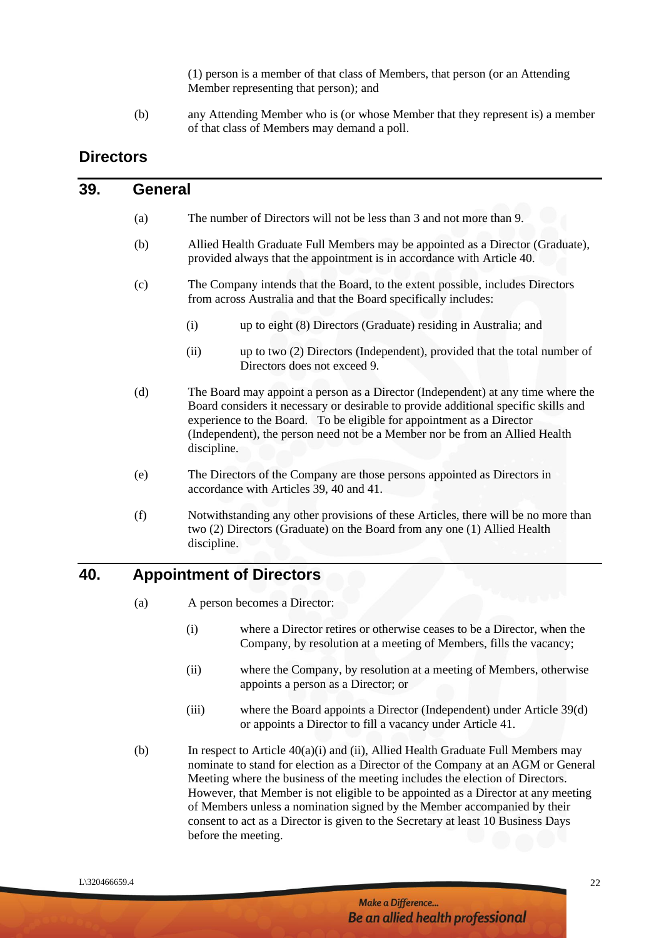(1) person is a member of that class of Members, that person (or an Attending Member representing that person); and

(b) any Attending Member who is (or whose Member that they represent is) a member of that class of Members may demand a poll.

## **Directors**

#### **39. General**

- (a) The number of Directors will not be less than 3 and not more than 9.
- (b) Allied Health Graduate Full Members may be appointed as a Director (Graduate), provided always that the appointment is in accordance with Article 40.
- (c) The Company intends that the Board, to the extent possible, includes Directors from across Australia and that the Board specifically includes:
	- (i) up to eight (8) Directors (Graduate) residing in Australia; and
	- (ii) up to two (2) Directors (Independent), provided that the total number of Directors does not exceed 9.
- (d) The Board may appoint a person as a Director (Independent) at any time where the Board considers it necessary or desirable to provide additional specific skills and experience to the Board. To be eligible for appointment as a Director (Independent), the person need not be a Member nor be from an Allied Health discipline.
- (e) The Directors of the Company are those persons appointed as Directors in accordance with Articles 39, 40 and 41.
- (f) Notwithstanding any other provisions of these Articles, there will be no more than two (2) Directors (Graduate) on the Board from any one (1) Allied Health discipline.

### **40. Appointment of Directors**

(a) A person becomes a Director:

- (i) where a Director retires or otherwise ceases to be a Director, when the Company, by resolution at a meeting of Members, fills the vacancy;
- (ii) where the Company, by resolution at a meeting of Members, otherwise appoints a person as a Director; or
- (iii) where the Board appoints a Director (Independent) under Article 39(d) or appoints a Director to fill a vacancy under Article 41.
- (b) In respect to Article 40(a)(i) and (ii), Allied Health Graduate Full Members may nominate to stand for election as a Director of the Company at an AGM or General Meeting where the business of the meeting includes the election of Directors. However, that Member is not eligible to be appointed as a Director at any meeting of Members unless a nomination signed by the Member accompanied by their consent to act as a Director is given to the Secretary at least 10 Business Days before the meeting.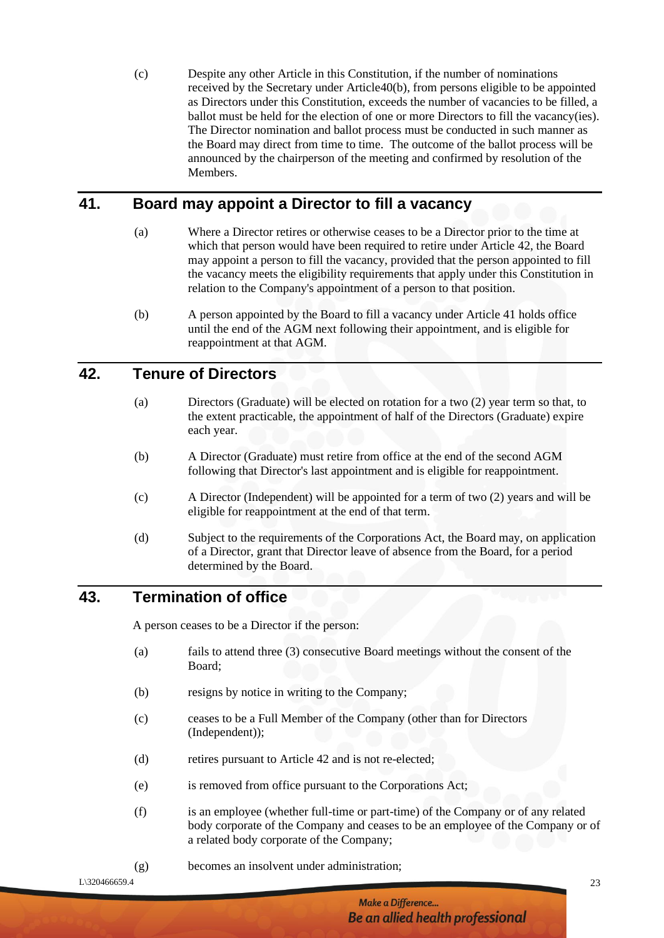(c) Despite any other Article in this Constitution, if the number of nominations received by the Secretary under Article40(b), from persons eligible to be appointed as Directors under this Constitution, exceeds the number of vacancies to be filled, a ballot must be held for the election of one or more Directors to fill the vacancy(ies). The Director nomination and ballot process must be conducted in such manner as the Board may direct from time to time. The outcome of the ballot process will be announced by the chairperson of the meeting and confirmed by resolution of the Members.

# **41. Board may appoint a Director to fill a vacancy**

- (a) Where a Director retires or otherwise ceases to be a Director prior to the time at which that person would have been required to retire under Article 42, the Board may appoint a person to fill the vacancy, provided that the person appointed to fill the vacancy meets the eligibility requirements that apply under this Constitution in relation to the Company's appointment of a person to that position.
- (b) A person appointed by the Board to fill a vacancy under Article 41 holds office until the end of the AGM next following their appointment, and is eligible for reappointment at that AGM.

#### **42. Tenure of Directors**

- (a) Directors (Graduate) will be elected on rotation for a two (2) year term so that, to the extent practicable, the appointment of half of the Directors (Graduate) expire each year.
- (b) A Director (Graduate) must retire from office at the end of the second AGM following that Director's last appointment and is eligible for reappointment.
- (c) A Director (Independent) will be appointed for a term of two (2) years and will be eligible for reappointment at the end of that term.
- (d) Subject to the requirements of the Corporations Act, the Board may, on application of a Director, grant that Director leave of absence from the Board, for a period determined by the Board.

#### **43. Termination of office**

A person ceases to be a Director if the person:

- (a) fails to attend three (3) consecutive Board meetings without the consent of the Board;
- (b) resigns by notice in writing to the Company;
- (c) ceases to be a Full Member of the Company (other than for Directors (Independent));
- (d) retires pursuant to Article 42 and is not re-elected;
- (e) is removed from office pursuant to the Corporations Act;
- (f) is an employee (whether full-time or part-time) of the Company or of any related body corporate of the Company and ceases to be an employee of the Company or of a related body corporate of the Company;
- (g) becomes an insolvent under administration;

 $L\$ 320466659.4 23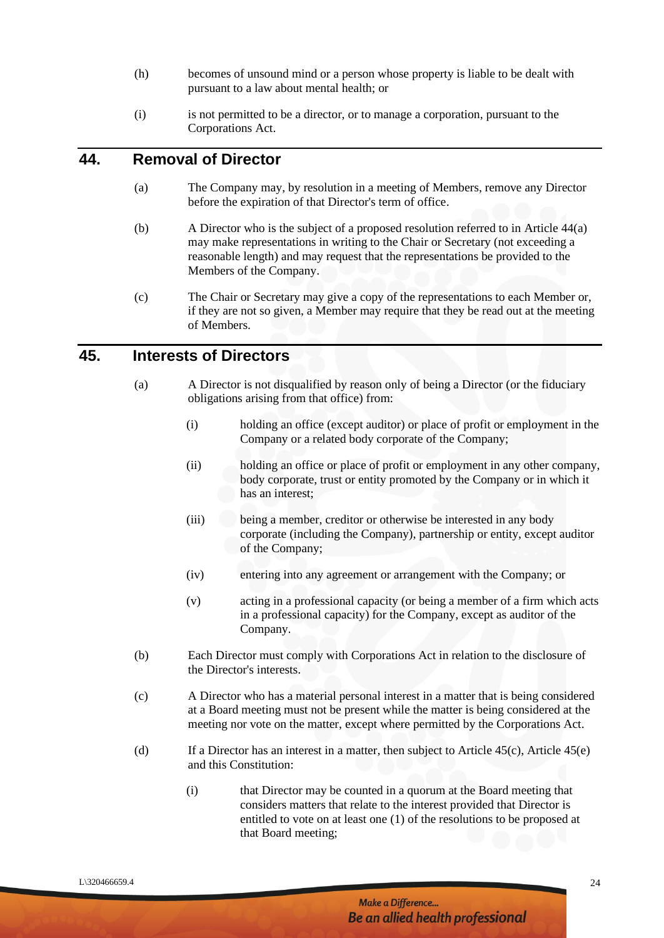- (h) becomes of unsound mind or a person whose property is liable to be dealt with pursuant to a law about mental health; or
- (i) is not permitted to be a director, or to manage a corporation, pursuant to the Corporations Act.

#### **44. Removal of Director**

- (a) The Company may, by resolution in a meeting of Members, remove any Director before the expiration of that Director's term of office.
- (b) A Director who is the subject of a proposed resolution referred to in Article 44(a) may make representations in writing to the Chair or Secretary (not exceeding a reasonable length) and may request that the representations be provided to the Members of the Company.
- (c) The Chair or Secretary may give a copy of the representations to each Member or, if they are not so given, a Member may require that they be read out at the meeting of Members.

#### **45. Interests of Directors**

- (a) A Director is not disqualified by reason only of being a Director (or the fiduciary obligations arising from that office) from:
	- (i) holding an office (except auditor) or place of profit or employment in the Company or a related body corporate of the Company;
	- (ii) holding an office or place of profit or employment in any other company, body corporate, trust or entity promoted by the Company or in which it has an interest;
	- (iii) being a member, creditor or otherwise be interested in any body corporate (including the Company), partnership or entity, except auditor of the Company;
	- (iv) entering into any agreement or arrangement with the Company; or
	- (v) acting in a professional capacity (or being a member of a firm which acts in a professional capacity) for the Company, except as auditor of the Company.
- (b) Each Director must comply with Corporations Act in relation to the disclosure of the Director's interests.
- (c) A Director who has a material personal interest in a matter that is being considered at a Board meeting must not be present while the matter is being considered at the meeting nor vote on the matter, except where permitted by the Corporations Act.
- (d) If a Director has an interest in a matter, then subject to Article  $45(c)$ , Article  $45(e)$ and this Constitution:
	- (i) that Director may be counted in a quorum at the Board meeting that considers matters that relate to the interest provided that Director is entitled to vote on at least one (1) of the resolutions to be proposed at that Board meeting;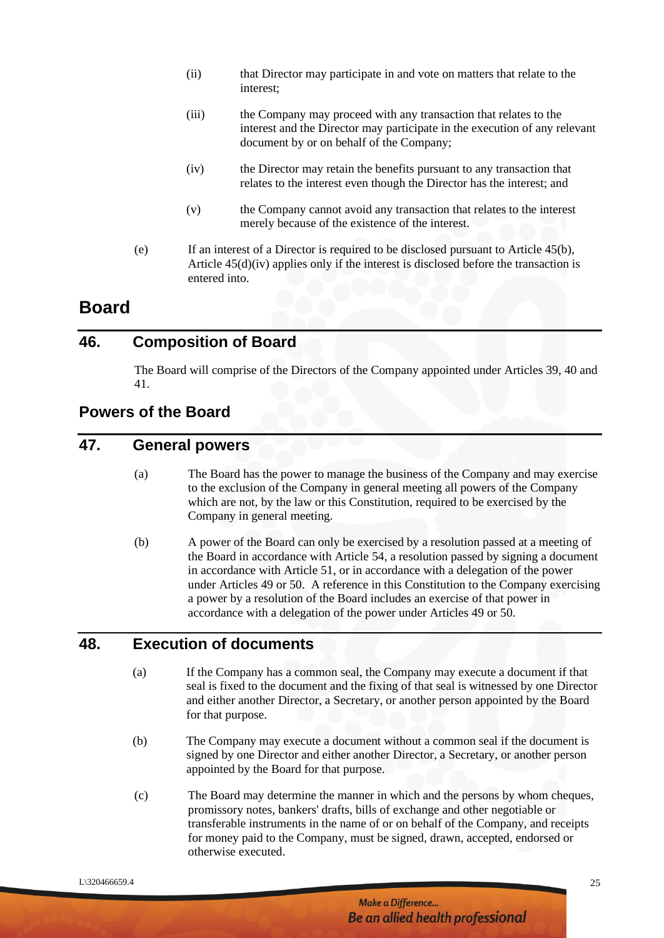- (ii) that Director may participate in and vote on matters that relate to the interest;
- (iii) the Company may proceed with any transaction that relates to the interest and the Director may participate in the execution of any relevant document by or on behalf of the Company;
- (iv) the Director may retain the benefits pursuant to any transaction that relates to the interest even though the Director has the interest; and
- (v) the Company cannot avoid any transaction that relates to the interest merely because of the existence of the interest.
- (e) If an interest of a Director is required to be disclosed pursuant to Article 45(b), Article 45(d)(iv) applies only if the interest is disclosed before the transaction is entered into.

# **Board**

#### **46. Composition of Board**

The Board will comprise of the Directors of the Company appointed under Articles 39, 40 and 41.

# **Powers of the Board**

# **47. General powers**

- (a) The Board has the power to manage the business of the Company and may exercise to the exclusion of the Company in general meeting all powers of the Company which are not, by the law or this Constitution, required to be exercised by the Company in general meeting.
- (b) A power of the Board can only be exercised by a resolution passed at a meeting of the Board in accordance with Article 54, a resolution passed by signing a document in accordance with Article 51, or in accordance with a delegation of the power under Articles 49 or 50. A reference in this Constitution to the Company exercising a power by a resolution of the Board includes an exercise of that power in accordance with a delegation of the power under Articles 49 or 50.

# **48. Execution of documents**

- (a) If the Company has a common seal, the Company may execute a document if that seal is fixed to the document and the fixing of that seal is witnessed by one Director and either another Director, a Secretary, or another person appointed by the Board for that purpose.
- (b) The Company may execute a document without a common seal if the document is signed by one Director and either another Director, a Secretary, or another person appointed by the Board for that purpose.
- (c) The Board may determine the manner in which and the persons by whom cheques, promissory notes, bankers' drafts, bills of exchange and other negotiable or transferable instruments in the name of or on behalf of the Company, and receipts for money paid to the Company, must be signed, drawn, accepted, endorsed or otherwise executed.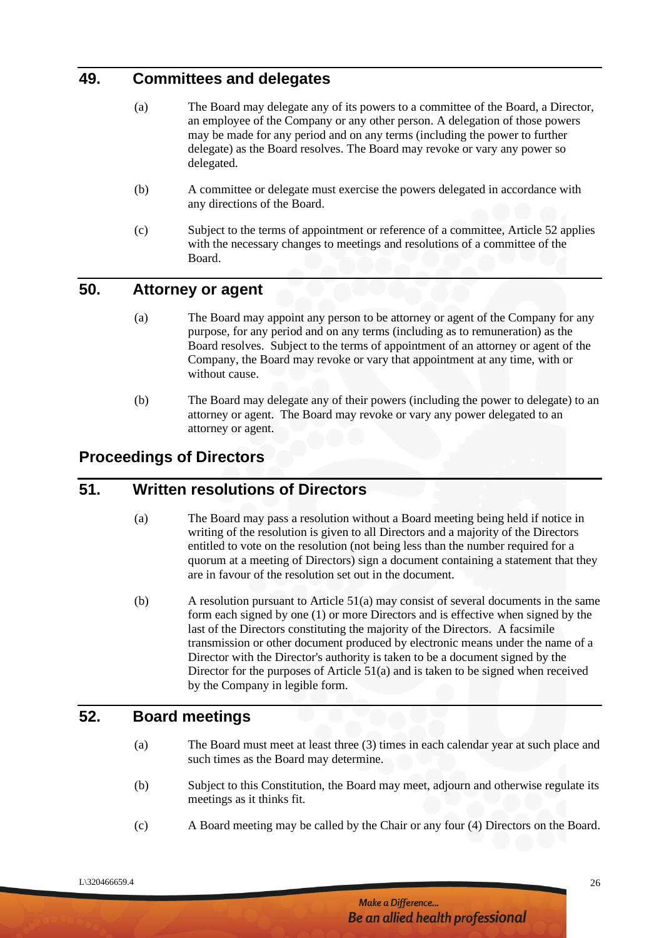# **49. Committees and delegates**

- (a) The Board may delegate any of its powers to a committee of the Board, a Director, an employee of the Company or any other person. A delegation of those powers may be made for any period and on any terms (including the power to further delegate) as the Board resolves. The Board may revoke or vary any power so delegated.
- (b) A committee or delegate must exercise the powers delegated in accordance with any directions of the Board.
- (c) Subject to the terms of appointment or reference of a committee, Article 52 applies with the necessary changes to meetings and resolutions of a committee of the Board.

# **50. Attorney or agent**

- (a) The Board may appoint any person to be attorney or agent of the Company for any purpose, for any period and on any terms (including as to remuneration) as the Board resolves. Subject to the terms of appointment of an attorney or agent of the Company, the Board may revoke or vary that appointment at any time, with or without cause.
- (b) The Board may delegate any of their powers (including the power to delegate) to an attorney or agent. The Board may revoke or vary any power delegated to an attorney or agent.

#### **Proceedings of Directors**

#### **51. Written resolutions of Directors**

- (a) The Board may pass a resolution without a Board meeting being held if notice in writing of the resolution is given to all Directors and a majority of the Directors entitled to vote on the resolution (not being less than the number required for a quorum at a meeting of Directors) sign a document containing a statement that they are in favour of the resolution set out in the document.
- (b) A resolution pursuant to Article 51(a) may consist of several documents in the same form each signed by one (1) or more Directors and is effective when signed by the last of the Directors constituting the majority of the Directors. A facsimile transmission or other document produced by electronic means under the name of a Director with the Director's authority is taken to be a document signed by the Director for the purposes of Article 51(a) and is taken to be signed when received by the Company in legible form.

# **52. Board meetings**

- (a) The Board must meet at least three (3) times in each calendar year at such place and such times as the Board may determine.
- (b) Subject to this Constitution, the Board may meet, adjourn and otherwise regulate its meetings as it thinks fit.
- (c) A Board meeting may be called by the Chair or any four (4) Directors on the Board.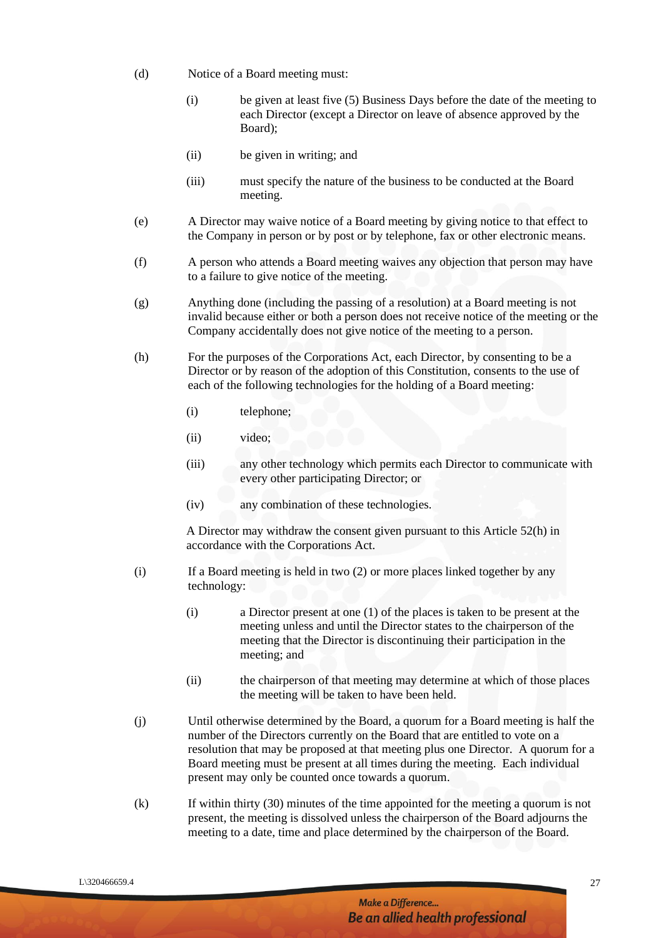- (d) Notice of a Board meeting must:
	- (i) be given at least five (5) Business Days before the date of the meeting to each Director (except a Director on leave of absence approved by the Board);
	- (ii) be given in writing; and
	- (iii) must specify the nature of the business to be conducted at the Board meeting.
- (e) A Director may waive notice of a Board meeting by giving notice to that effect to the Company in person or by post or by telephone, fax or other electronic means.
- (f) A person who attends a Board meeting waives any objection that person may have to a failure to give notice of the meeting.
- (g) Anything done (including the passing of a resolution) at a Board meeting is not invalid because either or both a person does not receive notice of the meeting or the Company accidentally does not give notice of the meeting to a person.
- (h) For the purposes of the Corporations Act, each Director, by consenting to be a Director or by reason of the adoption of this Constitution, consents to the use of each of the following technologies for the holding of a Board meeting:
	- (i) telephone;
	- (ii) video;
	- (iii) any other technology which permits each Director to communicate with every other participating Director; or
	- (iv) any combination of these technologies.

A Director may withdraw the consent given pursuant to this Article 52(h) in accordance with the Corporations Act.

- (i) If a Board meeting is held in two (2) or more places linked together by any technology:
	- (i) a Director present at one (1) of the places is taken to be present at the meeting unless and until the Director states to the chairperson of the meeting that the Director is discontinuing their participation in the meeting; and
	- (ii) the chairperson of that meeting may determine at which of those places the meeting will be taken to have been held.
- (j) Until otherwise determined by the Board, a quorum for a Board meeting is half the number of the Directors currently on the Board that are entitled to vote on a resolution that may be proposed at that meeting plus one Director. A quorum for a Board meeting must be present at all times during the meeting. Each individual present may only be counted once towards a quorum.
- (k) If within thirty (30) minutes of the time appointed for the meeting a quorum is not present, the meeting is dissolved unless the chairperson of the Board adjourns the meeting to a date, time and place determined by the chairperson of the Board.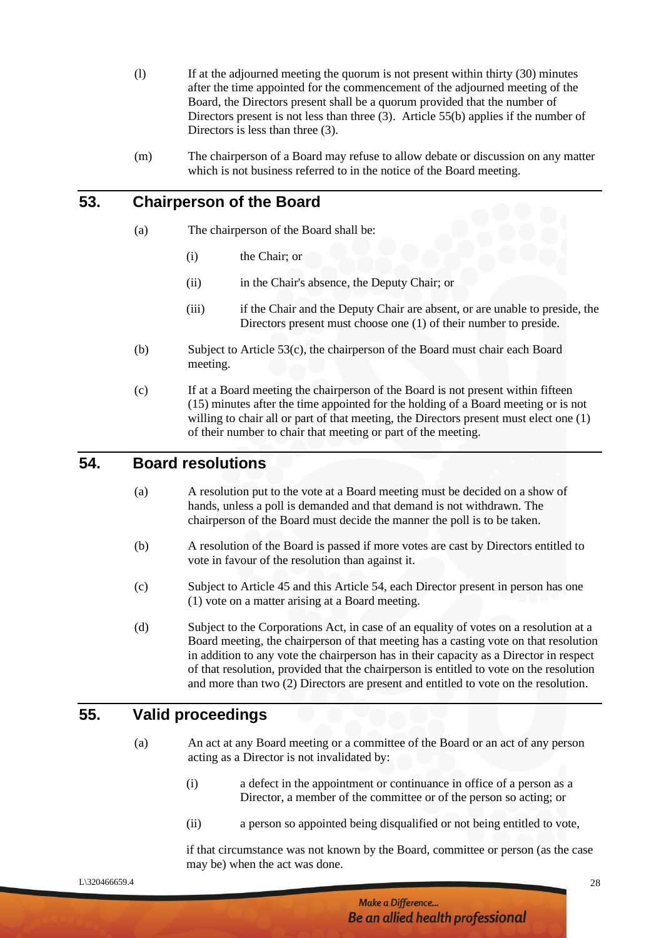- (l) If at the adjourned meeting the quorum is not present within thirty (30) minutes after the time appointed for the commencement of the adjourned meeting of the Board, the Directors present shall be a quorum provided that the number of Directors present is not less than three (3). Article 55(b) applies if the number of Directors is less than three  $(3)$ .
- (m) The chairperson of a Board may refuse to allow debate or discussion on any matter which is not business referred to in the notice of the Board meeting.

## **53. Chairperson of the Board**

- (a) The chairperson of the Board shall be:
	- (i) the Chair; or
	- (ii) in the Chair's absence, the Deputy Chair; or
	- (iii) if the Chair and the Deputy Chair are absent, or are unable to preside, the Directors present must choose one (1) of their number to preside.
- (b) Subject to Article 53(c), the chairperson of the Board must chair each Board meeting.
- (c) If at a Board meeting the chairperson of the Board is not present within fifteen (15) minutes after the time appointed for the holding of a Board meeting or is not willing to chair all or part of that meeting, the Directors present must elect one (1) of their number to chair that meeting or part of the meeting.

#### **54. Board resolutions**

- (a) A resolution put to the vote at a Board meeting must be decided on a show of hands, unless a poll is demanded and that demand is not withdrawn. The chairperson of the Board must decide the manner the poll is to be taken.
- (b) A resolution of the Board is passed if more votes are cast by Directors entitled to vote in favour of the resolution than against it.
- (c) Subject to Article 45 and this Article 54, each Director present in person has one (1) vote on a matter arising at a Board meeting.
- (d) Subject to the Corporations Act, in case of an equality of votes on a resolution at a Board meeting, the chairperson of that meeting has a casting vote on that resolution in addition to any vote the chairperson has in their capacity as a Director in respect of that resolution, provided that the chairperson is entitled to vote on the resolution and more than two (2) Directors are present and entitled to vote on the resolution.

#### **55. Valid proceedings**

- (a) An act at any Board meeting or a committee of the Board or an act of any person acting as a Director is not invalidated by:
	- (i) a defect in the appointment or continuance in office of a person as a Director, a member of the committee or of the person so acting; or
	- (ii) a person so appointed being disqualified or not being entitled to vote,

if that circumstance was not known by the Board, committee or person (as the case may be) when the act was done.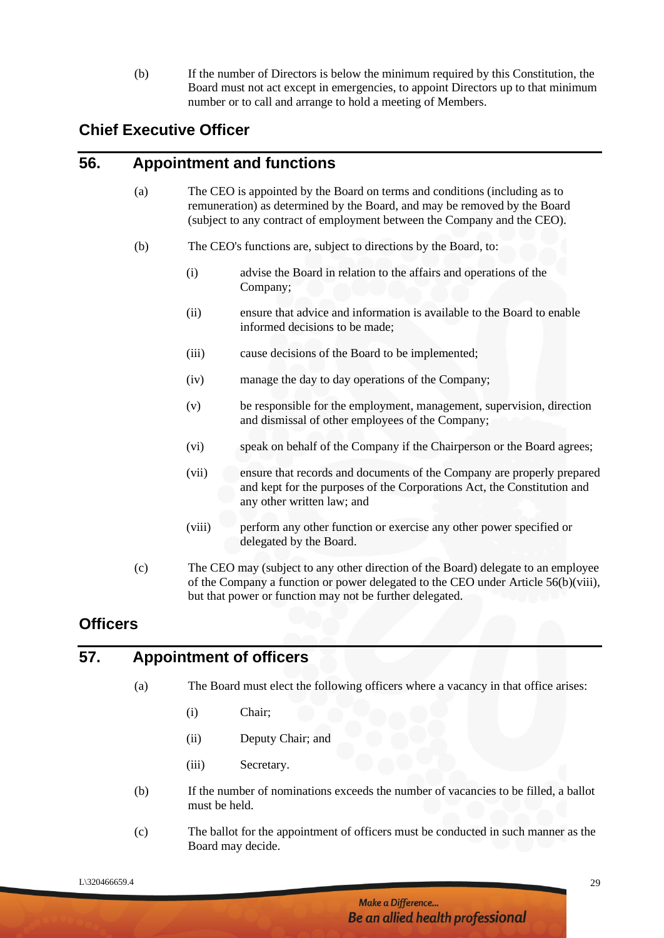(b) If the number of Directors is below the minimum required by this Constitution, the Board must not act except in emergencies, to appoint Directors up to that minimum number or to call and arrange to hold a meeting of Members.

# **Chief Executive Officer**

#### **56. Appointment and functions**

- (a) The CEO is appointed by the Board on terms and conditions (including as to remuneration) as determined by the Board, and may be removed by the Board (subject to any contract of employment between the Company and the CEO).
- (b) The CEO's functions are, subject to directions by the Board, to:
	- (i) advise the Board in relation to the affairs and operations of the Company;
	- (ii) ensure that advice and information is available to the Board to enable informed decisions to be made;
	- (iii) cause decisions of the Board to be implemented;
	- (iv) manage the day to day operations of the Company;
	- (v) be responsible for the employment, management, supervision, direction and dismissal of other employees of the Company;
	- (vi) speak on behalf of the Company if the Chairperson or the Board agrees;
	- (vii) ensure that records and documents of the Company are properly prepared and kept for the purposes of the Corporations Act, the Constitution and any other written law; and
	- (viii) perform any other function or exercise any other power specified or delegated by the Board.
- (c) The CEO may (subject to any other direction of the Board) delegate to an employee of the Company a function or power delegated to the CEO under Article 56(b)(viii), but that power or function may not be further delegated.

# **Officers**

#### **57. Appointment of officers**

- (a) The Board must elect the following officers where a vacancy in that office arises:
	- (i) Chair;
	- (ii) Deputy Chair; and
	- (iii) Secretary.
- (b) If the number of nominations exceeds the number of vacancies to be filled, a ballot must be held.
- (c) The ballot for the appointment of officers must be conducted in such manner as the Board may decide.

 $L\$ 320466659.4 29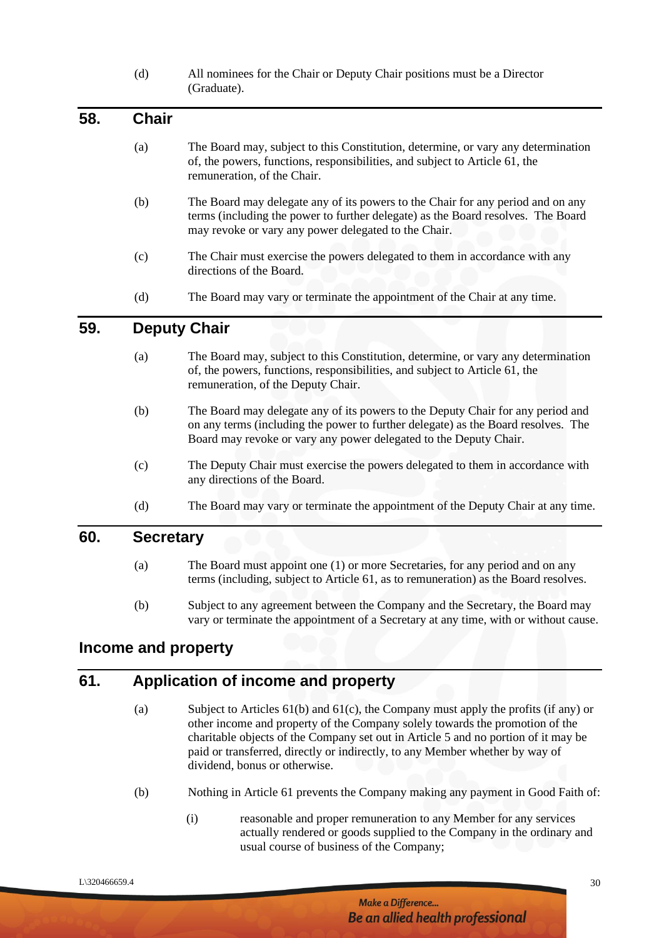(d) All nominees for the Chair or Deputy Chair positions must be a Director (Graduate).

| 58. | <b>Chair</b> |                                                                                                                                                                                                                             |
|-----|--------------|-----------------------------------------------------------------------------------------------------------------------------------------------------------------------------------------------------------------------------|
|     | (a)          | The Board may, subject to this Constitution, determine, or vary any determination<br>of, the powers, functions, responsibilities, and subject to Article 61, the<br>remuneration, of the Chair.                             |
|     | (b)          | The Board may delegate any of its powers to the Chair for any period and on any<br>terms (including the power to further delegate) as the Board resolves. The Board<br>may revoke or vary any power delegated to the Chair. |
|     | (c)          | The Chair must exercise the powers delegated to them in accordance with any<br>directions of the Board.                                                                                                                     |
|     | (d)          | The Board may vary or terminate the appointment of the Chair at any time.                                                                                                                                                   |
| 59. |              | <b>Deputy Chair</b>                                                                                                                                                                                                         |
|     | $\sqrt{2}$   | $\mathbf{T11}$ . $\mathbf{D}$ , and arrays and the star state $\mathbf{C}$ , and the state of stars and arrays arrays and arrays $\mathbf{D}$ .                                                                             |

- (a) The Board may, subject to this Constitution, determine, or vary any determination of, the powers, functions, responsibilities, and subject to Article 61, the remuneration, of the Deputy Chair.
- (b) The Board may delegate any of its powers to the Deputy Chair for any period and on any terms (including the power to further delegate) as the Board resolves. The Board may revoke or vary any power delegated to the Deputy Chair.
- (c) The Deputy Chair must exercise the powers delegated to them in accordance with any directions of the Board.
- (d) The Board may vary or terminate the appointment of the Deputy Chair at any time.

#### **60. Secretary**

- (a) The Board must appoint one (1) or more Secretaries, for any period and on any terms (including, subject to Article 61, as to remuneration) as the Board resolves.
- (b) Subject to any agreement between the Company and the Secretary, the Board may vary or terminate the appointment of a Secretary at any time, with or without cause.

#### **Income and property**

# **61. Application of income and property**

- (a) Subject to Articles 61(b) and 61(c), the Company must apply the profits (if any) or other income and property of the Company solely towards the promotion of the charitable objects of the Company set out in Article 5 and no portion of it may be paid or transferred, directly or indirectly, to any Member whether by way of dividend, bonus or otherwise.
- (b) Nothing in Article 61 prevents the Company making any payment in Good Faith of:
	- (i) reasonable and proper remuneration to any Member for any services actually rendered or goods supplied to the Company in the ordinary and usual course of business of the Company;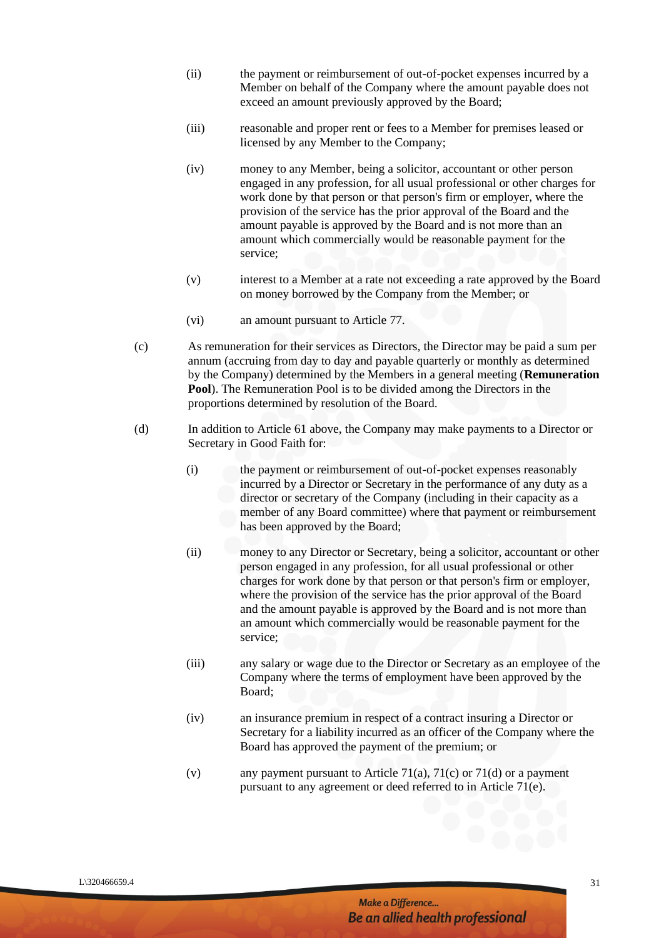- (ii) the payment or reimbursement of out-of-pocket expenses incurred by a Member on behalf of the Company where the amount payable does not exceed an amount previously approved by the Board;
- (iii) reasonable and proper rent or fees to a Member for premises leased or licensed by any Member to the Company;
- (iv) money to any Member, being a solicitor, accountant or other person engaged in any profession, for all usual professional or other charges for work done by that person or that person's firm or employer, where the provision of the service has the prior approval of the Board and the amount payable is approved by the Board and is not more than an amount which commercially would be reasonable payment for the service;
- (v) interest to a Member at a rate not exceeding a rate approved by the Board on money borrowed by the Company from the Member; or
- (vi) an amount pursuant to Article 77.
- (c) As remuneration for their services as Directors, the Director may be paid a sum per annum (accruing from day to day and payable quarterly or monthly as determined by the Company) determined by the Members in a general meeting (**Remuneration Pool**). The Remuneration Pool is to be divided among the Directors in the proportions determined by resolution of the Board.
- (d) In addition to Article 61 above, the Company may make payments to a Director or Secretary in Good Faith for:
	- (i) the payment or reimbursement of out-of-pocket expenses reasonably incurred by a Director or Secretary in the performance of any duty as a director or secretary of the Company (including in their capacity as a member of any Board committee) where that payment or reimbursement has been approved by the Board;
	- (ii) money to any Director or Secretary, being a solicitor, accountant or other person engaged in any profession, for all usual professional or other charges for work done by that person or that person's firm or employer, where the provision of the service has the prior approval of the Board and the amount payable is approved by the Board and is not more than an amount which commercially would be reasonable payment for the service;
	- (iii) any salary or wage due to the Director or Secretary as an employee of the Company where the terms of employment have been approved by the Board;
	- (iv) an insurance premium in respect of a contract insuring a Director or Secretary for a liability incurred as an officer of the Company where the Board has approved the payment of the premium; or
	- (v) any payment pursuant to Article 71(a), 71(c) or 71(d) or a payment pursuant to any agreement or deed referred to in Article 71(e).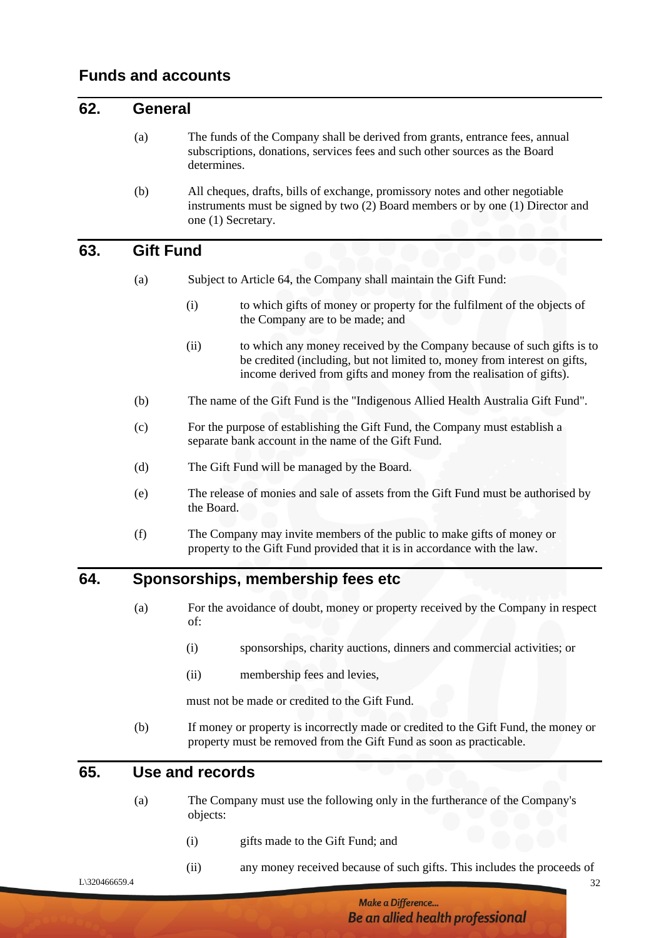#### **62. General**

- (a) The funds of the Company shall be derived from grants, entrance fees, annual subscriptions, donations, services fees and such other sources as the Board determines.
- (b) All cheques, drafts, bills of exchange, promissory notes and other negotiable instruments must be signed by two (2) Board members or by one (1) Director and one (1) Secretary.

### **63. Gift Fund**

- (a) Subject to Article 64, the Company shall maintain the Gift Fund:
	- (i) to which gifts of money or property for the fulfilment of the objects of the Company are to be made; and
	- (ii) to which any money received by the Company because of such gifts is to be credited (including, but not limited to, money from interest on gifts, income derived from gifts and money from the realisation of gifts).
- (b) The name of the Gift Fund is the "Indigenous Allied Health Australia Gift Fund".
- (c) For the purpose of establishing the Gift Fund, the Company must establish a separate bank account in the name of the Gift Fund.
- (d) The Gift Fund will be managed by the Board.
- (e) The release of monies and sale of assets from the Gift Fund must be authorised by the Board.
- (f) The Company may invite members of the public to make gifts of money or property to the Gift Fund provided that it is in accordance with the law.

#### **64. Sponsorships, membership fees etc**

- (a) For the avoidance of doubt, money or property received by the Company in respect of:
	- (i) sponsorships, charity auctions, dinners and commercial activities; or
	- (ii) membership fees and levies,

must not be made or credited to the Gift Fund.

(b) If money or property is incorrectly made or credited to the Gift Fund, the money or property must be removed from the Gift Fund as soon as practicable.

#### **65. Use and records**

- (a) The Company must use the following only in the furtherance of the Company's objects:
	- (i) gifts made to the Gift Fund; and
	- (ii) any money received because of such gifts. This includes the proceeds of

 $L\$ 320466659.4 32

**Make a Difference...** Be an allied health professional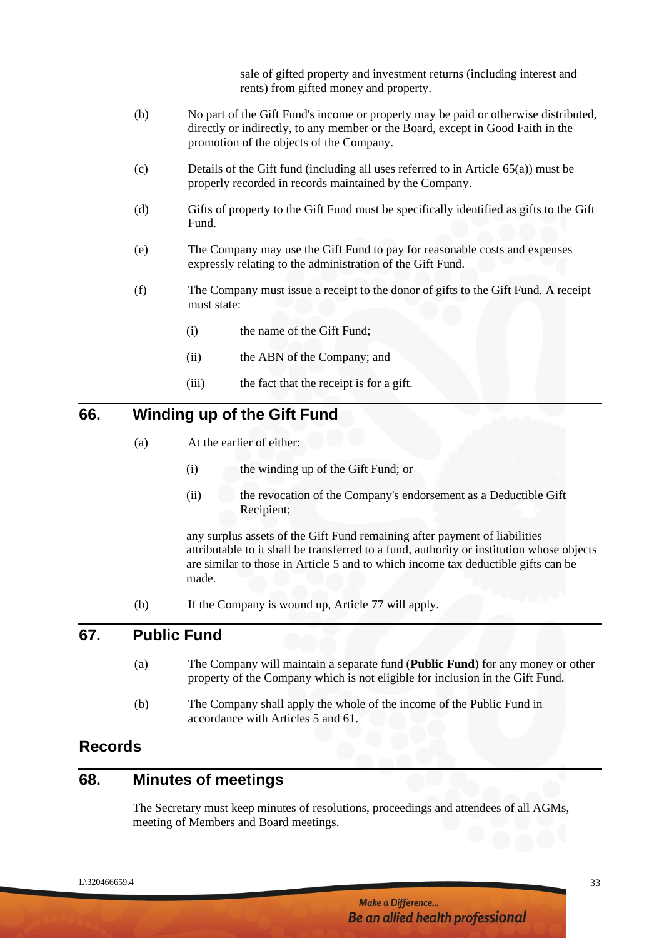sale of gifted property and investment returns (including interest and rents) from gifted money and property.

- (b) No part of the Gift Fund's income or property may be paid or otherwise distributed, directly or indirectly, to any member or the Board, except in Good Faith in the promotion of the objects of the Company.
- (c) Details of the Gift fund (including all uses referred to in Article 65(a)) must be properly recorded in records maintained by the Company.
- (d) Gifts of property to the Gift Fund must be specifically identified as gifts to the Gift Fund.
- (e) The Company may use the Gift Fund to pay for reasonable costs and expenses expressly relating to the administration of the Gift Fund.
- (f) The Company must issue a receipt to the donor of gifts to the Gift Fund. A receipt must state:
	- (i) the name of the Gift Fund;
	- (ii) the ABN of the Company; and
	- (iii) the fact that the receipt is for a gift.

### **66. Winding up of the Gift Fund**

- (a) At the earlier of either:
	- (i) the winding up of the Gift Fund; or
	- (ii) the revocation of the Company's endorsement as a Deductible Gift Recipient;

any surplus assets of the Gift Fund remaining after payment of liabilities attributable to it shall be transferred to a fund, authority or institution whose objects are similar to those in Article 5 and to which income tax deductible gifts can be made.

(b) If the Company is wound up, Article 77 will apply.

#### **67. Public Fund**

- (a) The Company will maintain a separate fund (**Public Fund**) for any money or other property of the Company which is not eligible for inclusion in the Gift Fund.
- (b) The Company shall apply the whole of the income of the Public Fund in accordance with Articles 5 and 61.

# **Records**

# **68. Minutes of meetings**

The Secretary must keep minutes of resolutions, proceedings and attendees of all AGMs, meeting of Members and Board meetings.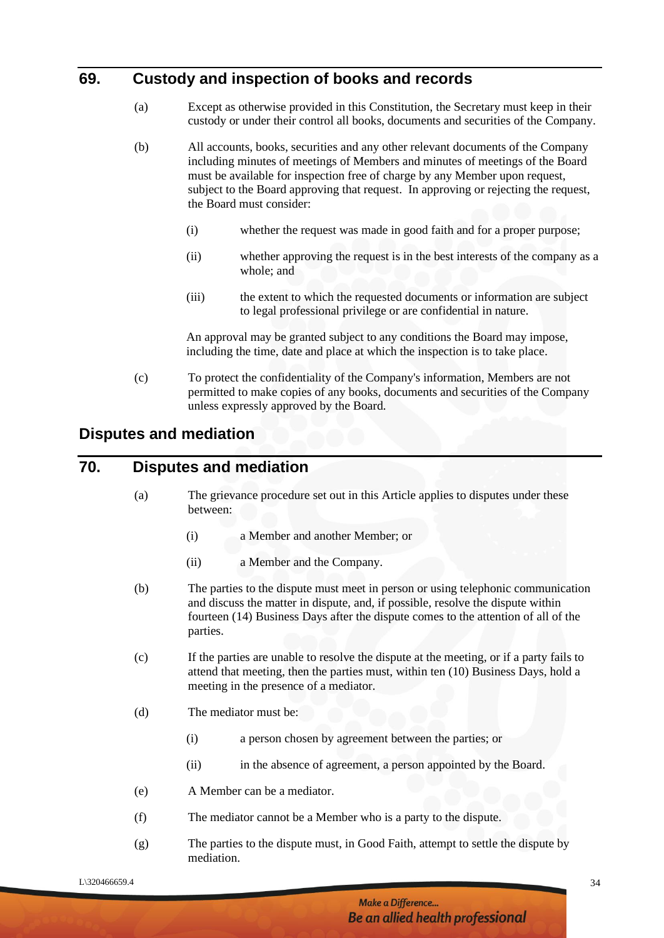# **69. Custody and inspection of books and records**

- (a) Except as otherwise provided in this Constitution, the Secretary must keep in their custody or under their control all books, documents and securities of the Company.
- (b) All accounts, books, securities and any other relevant documents of the Company including minutes of meetings of Members and minutes of meetings of the Board must be available for inspection free of charge by any Member upon request, subject to the Board approving that request. In approving or rejecting the request, the Board must consider:
	- (i) whether the request was made in good faith and for a proper purpose;
	- (ii) whether approving the request is in the best interests of the company as a whole; and
	- (iii) the extent to which the requested documents or information are subject to legal professional privilege or are confidential in nature.

An approval may be granted subject to any conditions the Board may impose, including the time, date and place at which the inspection is to take place.

(c) To protect the confidentiality of the Company's information, Members are not permitted to make copies of any books, documents and securities of the Company unless expressly approved by the Board.

# **Disputes and mediation**

## **70. Disputes and mediation**

- (a) The grievance procedure set out in this Article applies to disputes under these between:
	- (i) a Member and another Member; or
	- (ii) a Member and the Company.
- (b) The parties to the dispute must meet in person or using telephonic communication and discuss the matter in dispute, and, if possible, resolve the dispute within fourteen (14) Business Days after the dispute comes to the attention of all of the parties.
- (c) If the parties are unable to resolve the dispute at the meeting, or if a party fails to attend that meeting, then the parties must, within ten (10) Business Days, hold a meeting in the presence of a mediator.
- (d) The mediator must be:
	- (i) a person chosen by agreement between the parties; or
	- (ii) in the absence of agreement, a person appointed by the Board.
- (e) A Member can be a mediator.
- (f) The mediator cannot be a Member who is a party to the dispute.
- (g) The parties to the dispute must, in Good Faith, attempt to settle the dispute by mediation.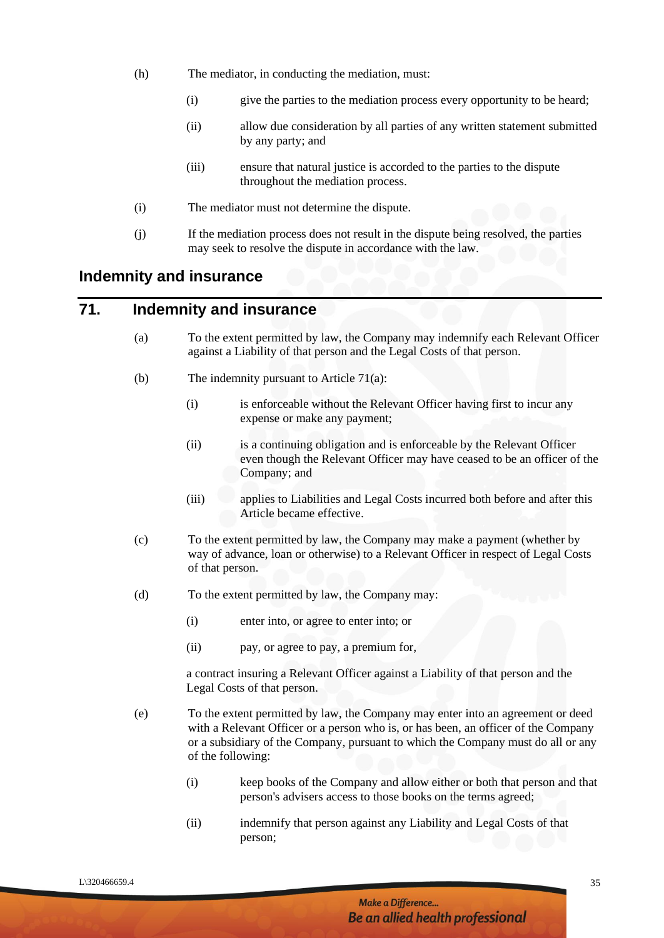- (h) The mediator, in conducting the mediation, must:
	- (i) give the parties to the mediation process every opportunity to be heard;
	- (ii) allow due consideration by all parties of any written statement submitted by any party; and
	- (iii) ensure that natural justice is accorded to the parties to the dispute throughout the mediation process.
- (i) The mediator must not determine the dispute.
- (j) If the mediation process does not result in the dispute being resolved, the parties may seek to resolve the dispute in accordance with the law.

#### **Indemnity and insurance**

# **71. Indemnity and insurance**

- (a) To the extent permitted by law, the Company may indemnify each Relevant Officer against a Liability of that person and the Legal Costs of that person.
- (b) The indemnity pursuant to Article 71(a):
	- (i) is enforceable without the Relevant Officer having first to incur any expense or make any payment;
	- (ii) is a continuing obligation and is enforceable by the Relevant Officer even though the Relevant Officer may have ceased to be an officer of the Company; and
	- (iii) applies to Liabilities and Legal Costs incurred both before and after this Article became effective.
- (c) To the extent permitted by law, the Company may make a payment (whether by way of advance, loan or otherwise) to a Relevant Officer in respect of Legal Costs of that person.
- (d) To the extent permitted by law, the Company may:
	- (i) enter into, or agree to enter into; or
	- (ii) pay, or agree to pay, a premium for,

a contract insuring a Relevant Officer against a Liability of that person and the Legal Costs of that person.

- (e) To the extent permitted by law, the Company may enter into an agreement or deed with a Relevant Officer or a person who is, or has been, an officer of the Company or a subsidiary of the Company, pursuant to which the Company must do all or any of the following:
	- (i) keep books of the Company and allow either or both that person and that person's advisers access to those books on the terms agreed;
	- (ii) indemnify that person against any Liability and Legal Costs of that person;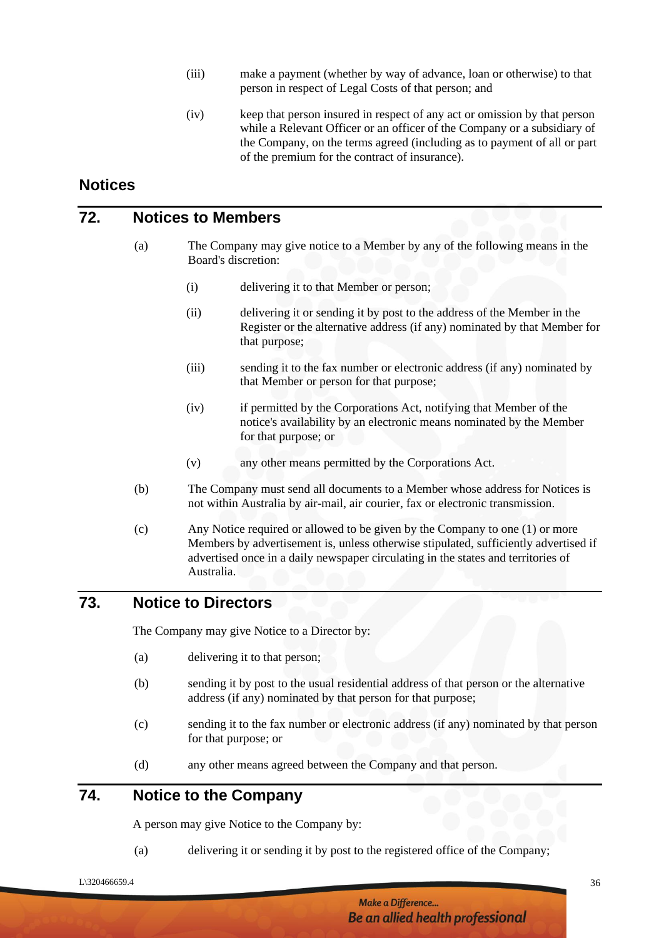- (iii) make a payment (whether by way of advance, loan or otherwise) to that person in respect of Legal Costs of that person; and
- (iv) keep that person insured in respect of any act or omission by that person while a Relevant Officer or an officer of the Company or a subsidiary of the Company, on the terms agreed (including as to payment of all or part of the premium for the contract of insurance).

#### **Notices**

#### **72. Notices to Members**

- (a) The Company may give notice to a Member by any of the following means in the Board's discretion:
	- (i) delivering it to that Member or person;
	- (ii) delivering it or sending it by post to the address of the Member in the Register or the alternative address (if any) nominated by that Member for that purpose;
	- (iii) sending it to the fax number or electronic address (if any) nominated by that Member or person for that purpose;
	- (iv) if permitted by the Corporations Act, notifying that Member of the notice's availability by an electronic means nominated by the Member for that purpose; or
	- (v) any other means permitted by the Corporations Act.
- (b) The Company must send all documents to a Member whose address for Notices is not within Australia by air-mail, air courier, fax or electronic transmission.
- (c) Any Notice required or allowed to be given by the Company to one (1) or more Members by advertisement is, unless otherwise stipulated, sufficiently advertised if advertised once in a daily newspaper circulating in the states and territories of Australia.

#### **73. Notice to Directors**

The Company may give Notice to a Director by:

- (a) delivering it to that person;
- (b) sending it by post to the usual residential address of that person or the alternative address (if any) nominated by that person for that purpose;
- (c) sending it to the fax number or electronic address (if any) nominated by that person for that purpose; or
- (d) any other means agreed between the Company and that person.

# **74. Notice to the Company**

A person may give Notice to the Company by:

(a) delivering it or sending it by post to the registered office of the Company;

 $L\$ 320466659.4 36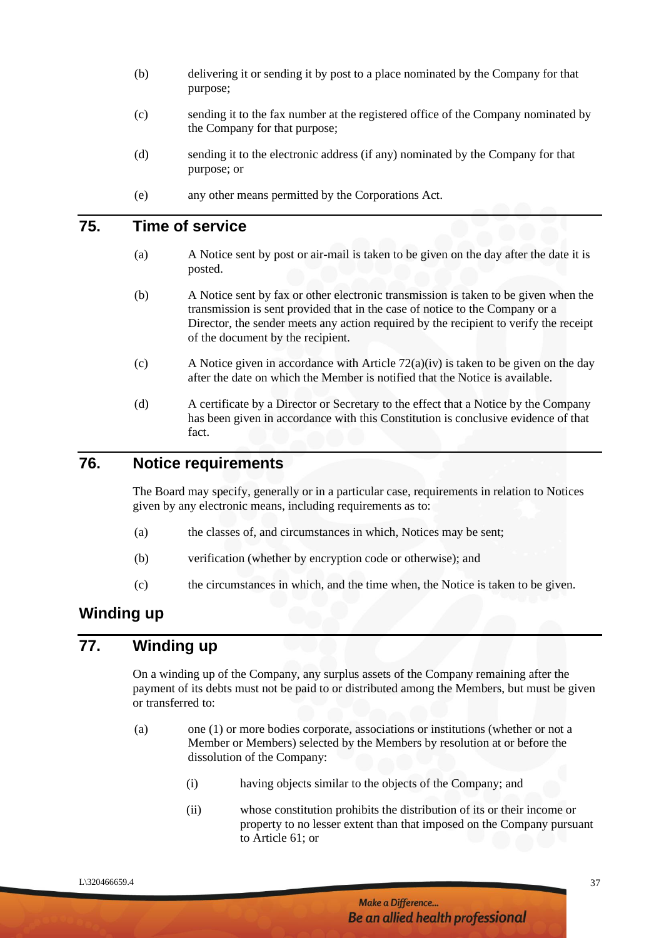- (b) delivering it or sending it by post to a place nominated by the Company for that purpose;
- (c) sending it to the fax number at the registered office of the Company nominated by the Company for that purpose;
- (d) sending it to the electronic address (if any) nominated by the Company for that purpose; or
- (e) any other means permitted by the Corporations Act.

# **75. Time of service**

- (a) A Notice sent by post or air-mail is taken to be given on the day after the date it is posted.
- (b) A Notice sent by fax or other electronic transmission is taken to be given when the transmission is sent provided that in the case of notice to the Company or a Director, the sender meets any action required by the recipient to verify the receipt of the document by the recipient.
- (c) A Notice given in accordance with Article 72(a)(iv) is taken to be given on the day after the date on which the Member is notified that the Notice is available.
- (d) A certificate by a Director or Secretary to the effect that a Notice by the Company has been given in accordance with this Constitution is conclusive evidence of that fact.

#### **76. Notice requirements**

The Board may specify, generally or in a particular case, requirements in relation to Notices given by any electronic means, including requirements as to:

- (a) the classes of, and circumstances in which, Notices may be sent;
- (b) verification (whether by encryption code or otherwise); and
- (c) the circumstances in which, and the time when, the Notice is taken to be given.

#### **Winding up**

#### **77. Winding up**

On a winding up of the Company, any surplus assets of the Company remaining after the payment of its debts must not be paid to or distributed among the Members, but must be given or transferred to:

- (a) one (1) or more bodies corporate, associations or institutions (whether or not a Member or Members) selected by the Members by resolution at or before the dissolution of the Company:
	- (i) having objects similar to the objects of the Company; and
	- (ii) whose constitution prohibits the distribution of its or their income or property to no lesser extent than that imposed on the Company pursuant to Article 61; or